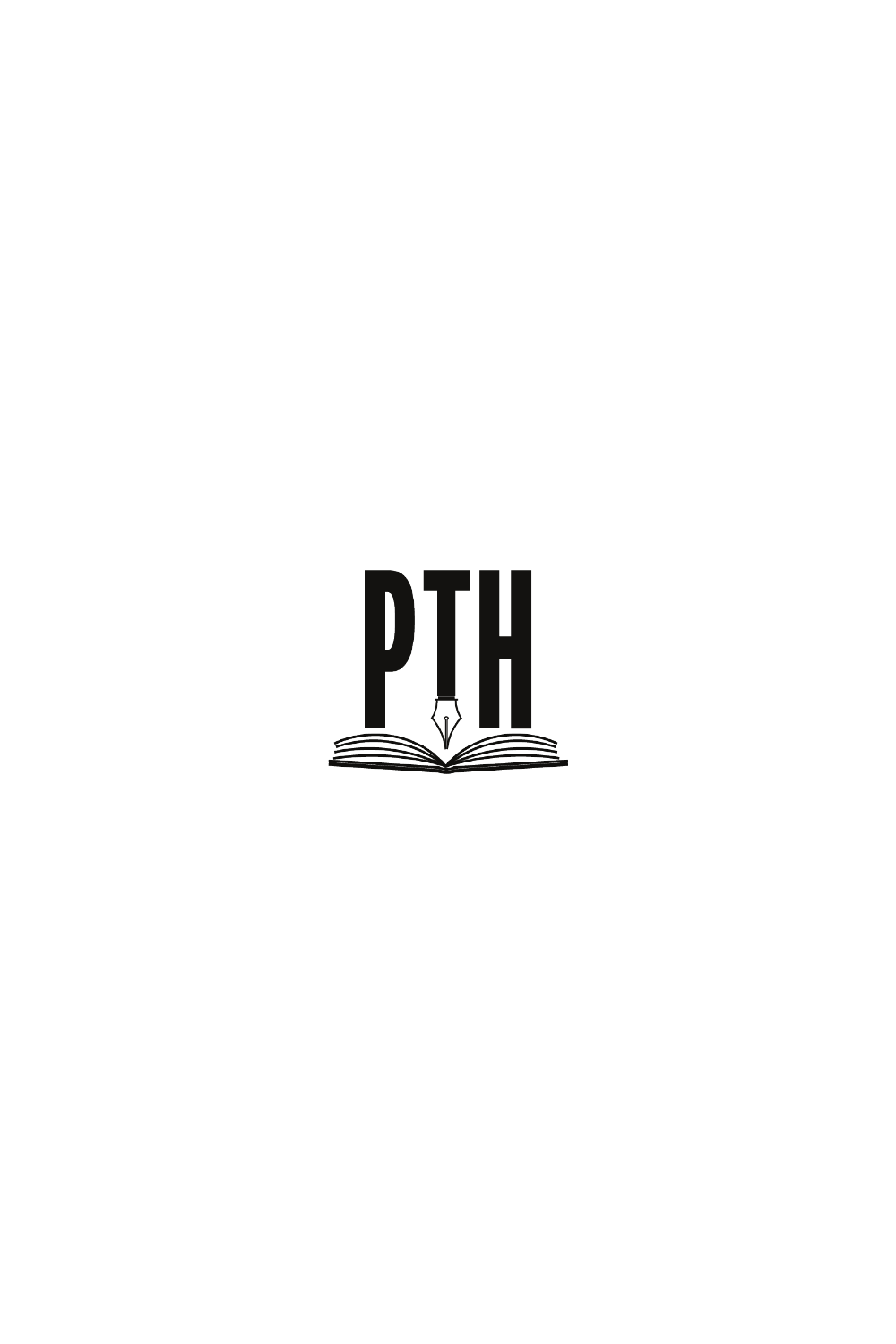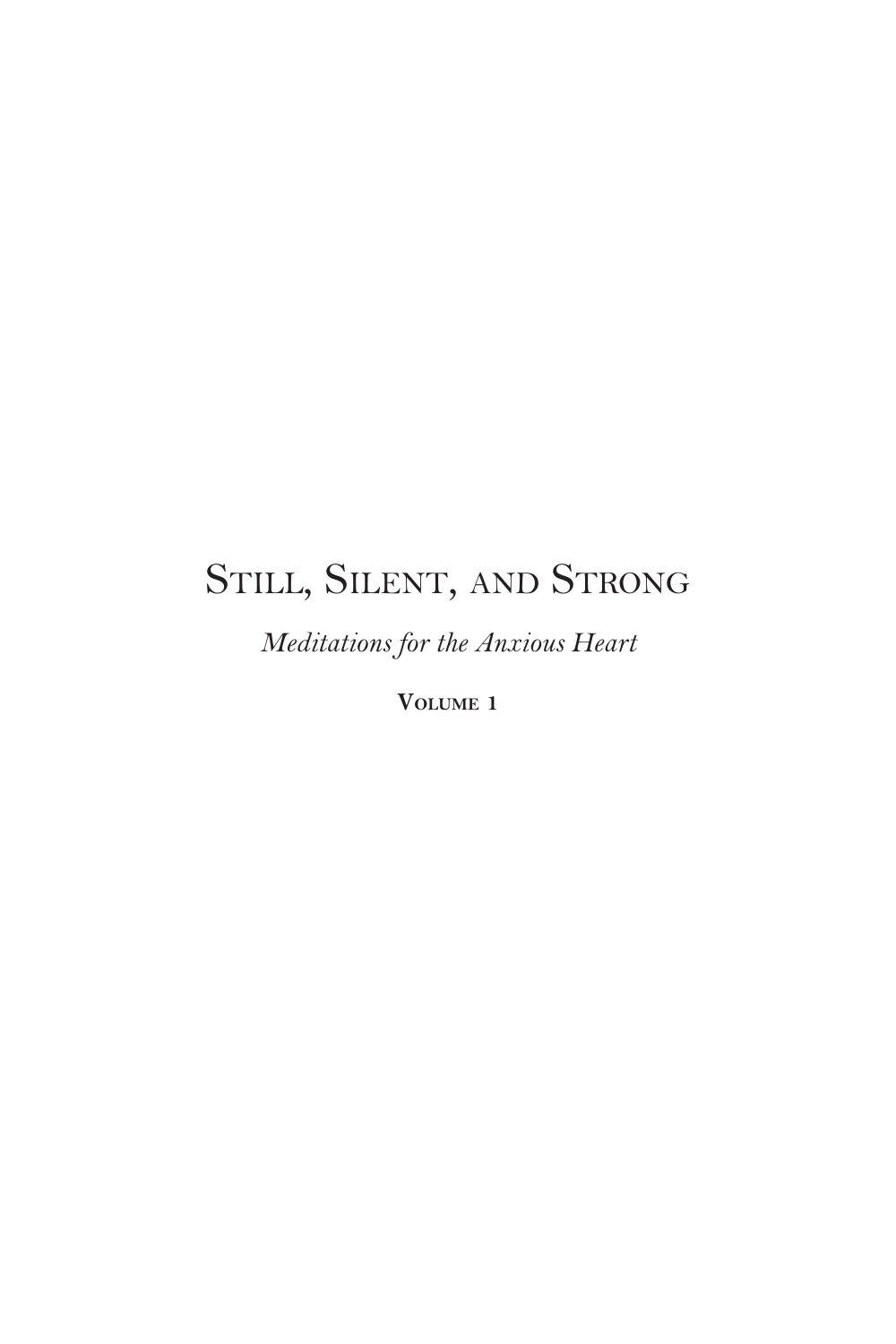## STILL, SILENT, AND STRONG

*Meditations for the Anxious Heart*

**Volume 1**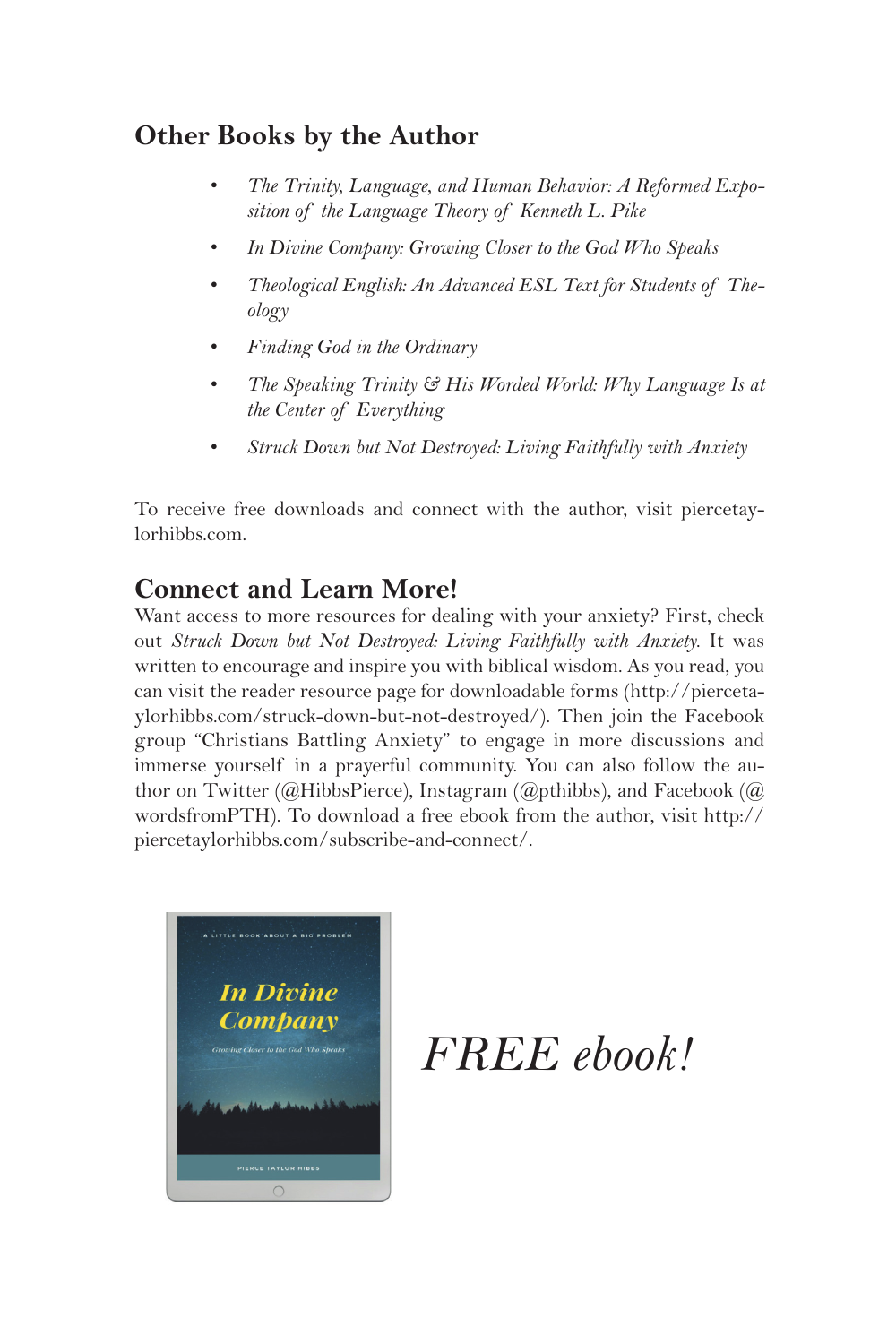### **Other Books by the Author**

- *• The Trinity, Language, and Human Behavior: A Reformed Exposition of the Language Theory of Kenneth L. Pike*
- *• In Divine Company: Growing Closer to the God Who Speaks*
- *• Theological English: An Advanced ESL Text for Students of Theology*
- *• Finding God in the Ordinary*
- *• The Speaking Trinity & His Worded World: Why Language Is at the Center of Everything*
- *• Struck Down but Not Destroyed: Living Faithfully with Anxiety*

To receive free downloads and connect with the author, visit piercetaylorhibbs.com.

### **Connect and Learn More!**

Want access to more resources for dealing with your anxiety? First, check out *Struck Down but Not Destroyed: Living Faithfully with Anxiety*. It was written to encourage and inspire you with biblical wisdom. As you read, you can visit the reader resource page for downloadable forms (http://piercetaylorhibbs.com/struck-down-but-not-destroyed/). Then join the Facebook group "Christians Battling Anxiety" to engage in more discussions and immerse yourself in a prayerful community. You can also follow the author on Twitter (@HibbsPierce), Instagram (@pthibbs), and Facebook (@ wordsfromPTH). To download a free ebook from the author, visit http:// piercetaylorhibbs.com/subscribe-and-connect/.



*FREE ebook!*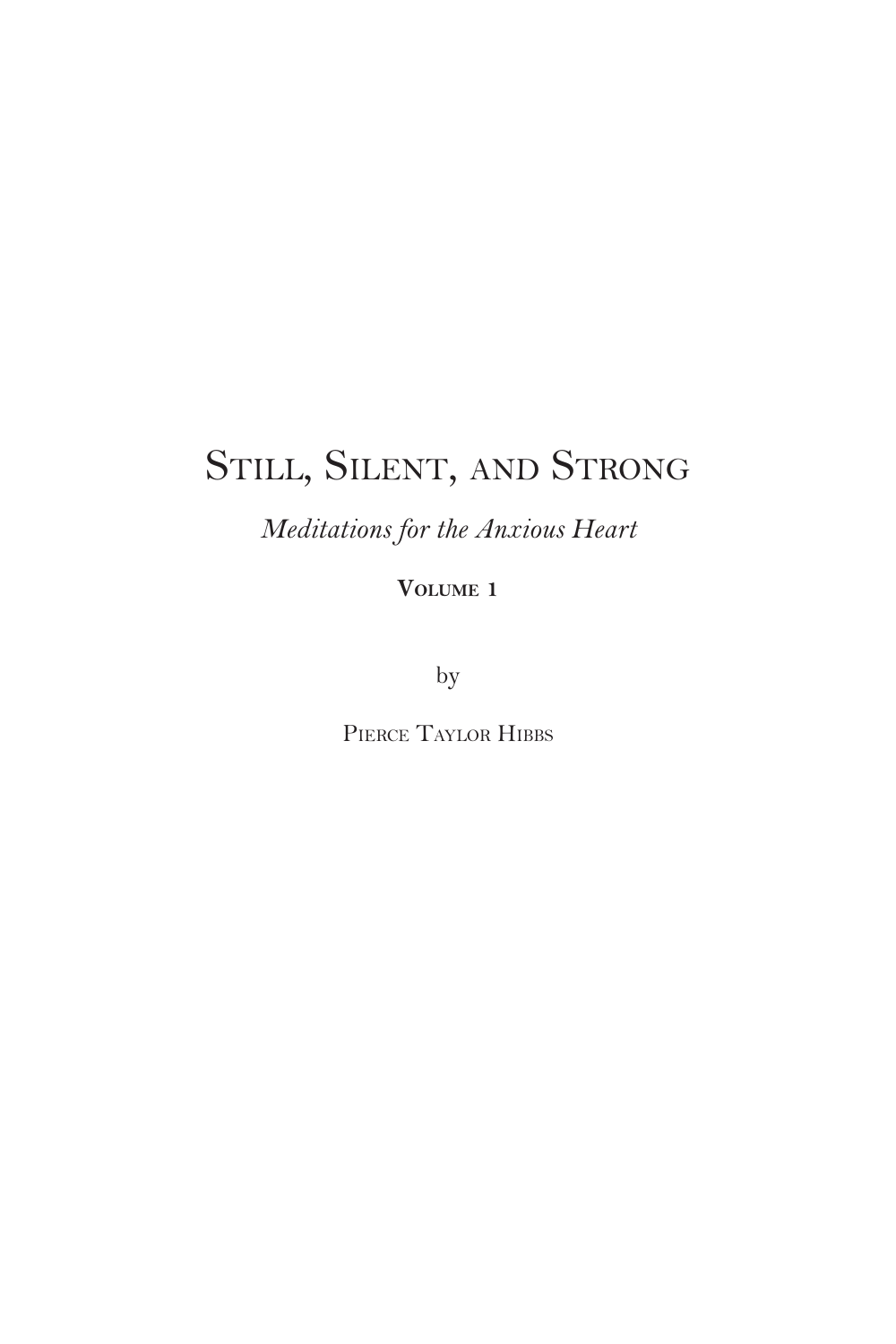## Still, Silent, and Strong

*Meditations for the Anxious Heart*

**Volume 1**

by

PIERCE TAYLOR HIBBS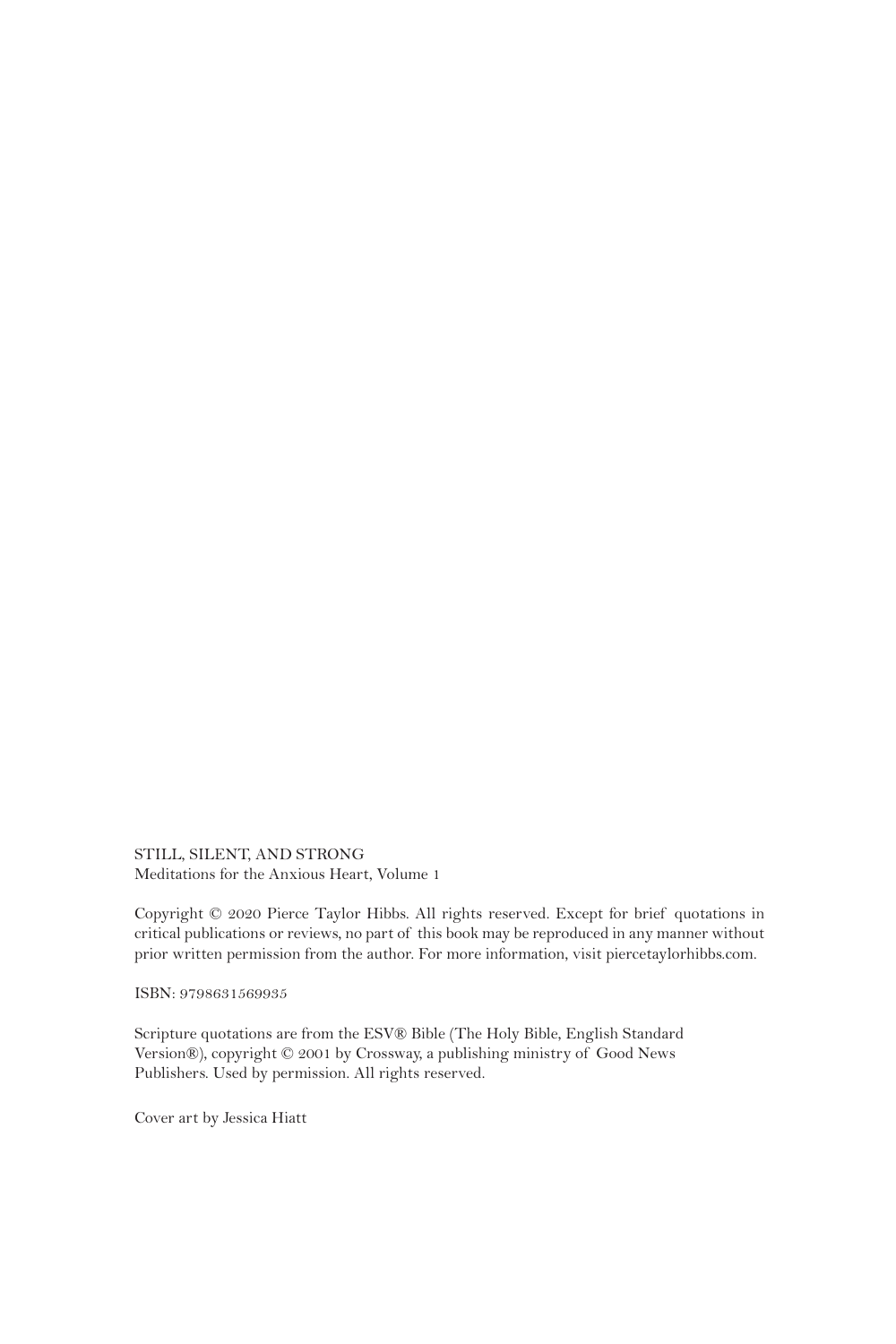STILL, SILENT, AND STRONG Meditations for the Anxious Heart, Volume 1

Copyright © 2020 Pierce Taylor Hibbs. All rights reserved. Except for brief quotations in critical publications or reviews, no part of this book may be reproduced in any manner without prior written permission from the author. For more information, visit piercetaylorhibbs.com.

ISBN: 9798631569935

Scripture quotations are from the ESV® Bible (The Holy Bible, English Standard Version®), copyright © 2001 by Crossway, a publishing ministry of Good News Publishers. Used by permission. All rights reserved.

Cover art by Jessica Hiatt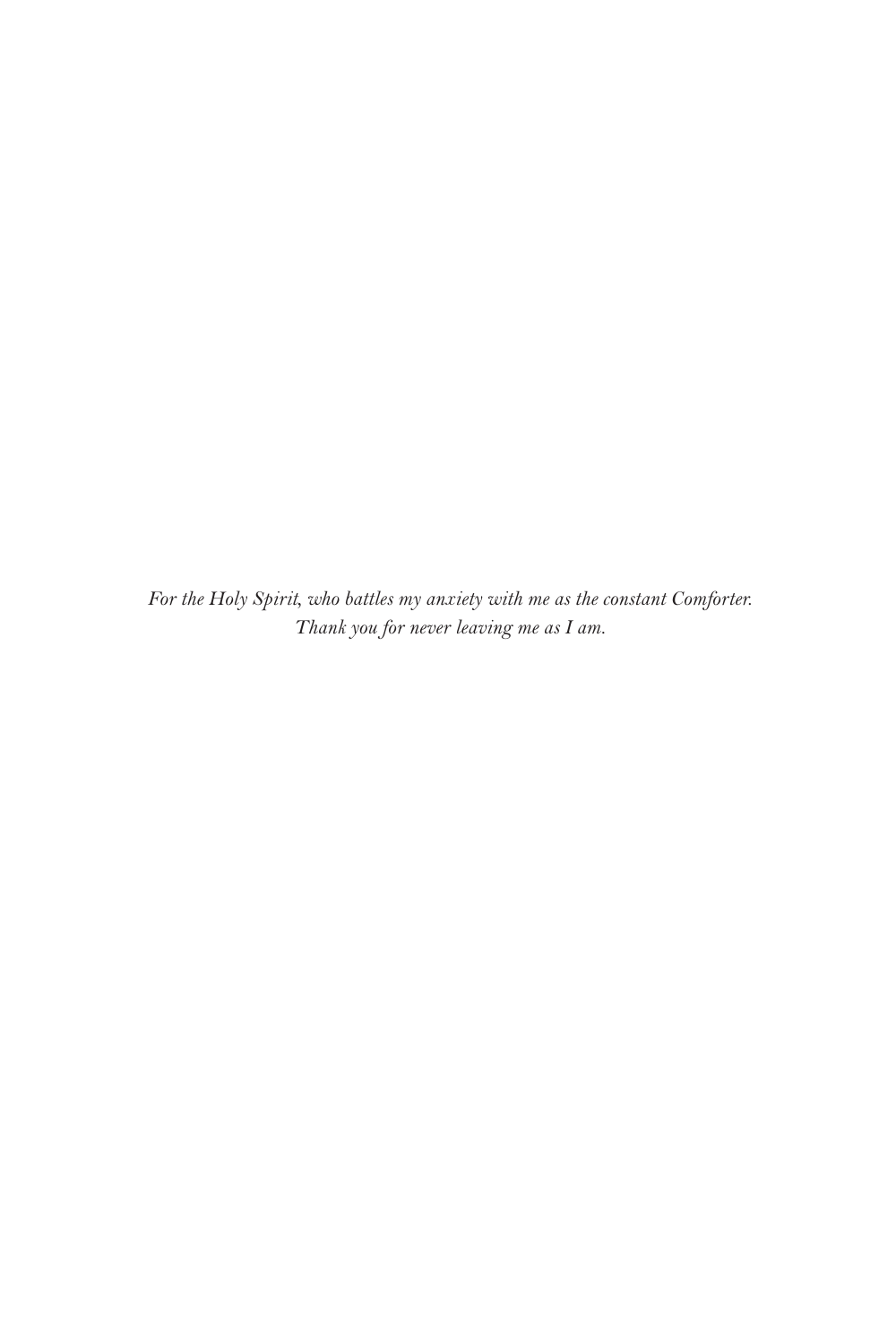*For the Holy Spirit, who battles my anxiety with me as the constant Comforter. Thank you for never leaving me as I am.*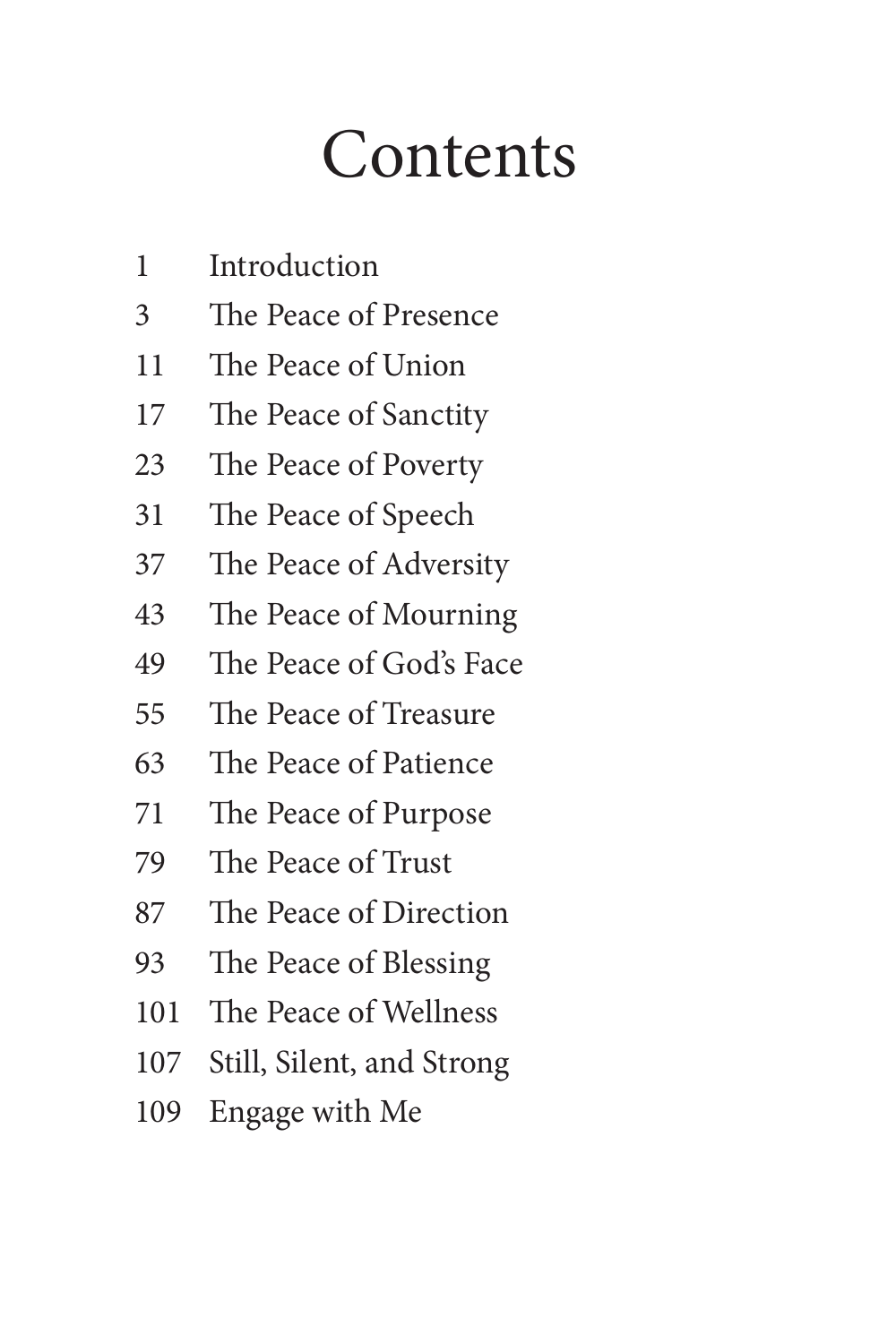# **Contents**

- Introduction
- The Peace of Presence
- The Peace of Union
- The Peace of Sanctity
- The Peace of Poverty
- The Peace of Speech
- The Peace of Adversity
- The Peace of Mourning
- The Peace of God's Face
- The Peace of Treasure
- The Peace of Patience
- The Peace of Purpose
- The Peace of Trust
- The Peace of Direction
- The Peace of Blessing
- The Peace of Wellness
- Still, Silent, and Strong
- Engage with Me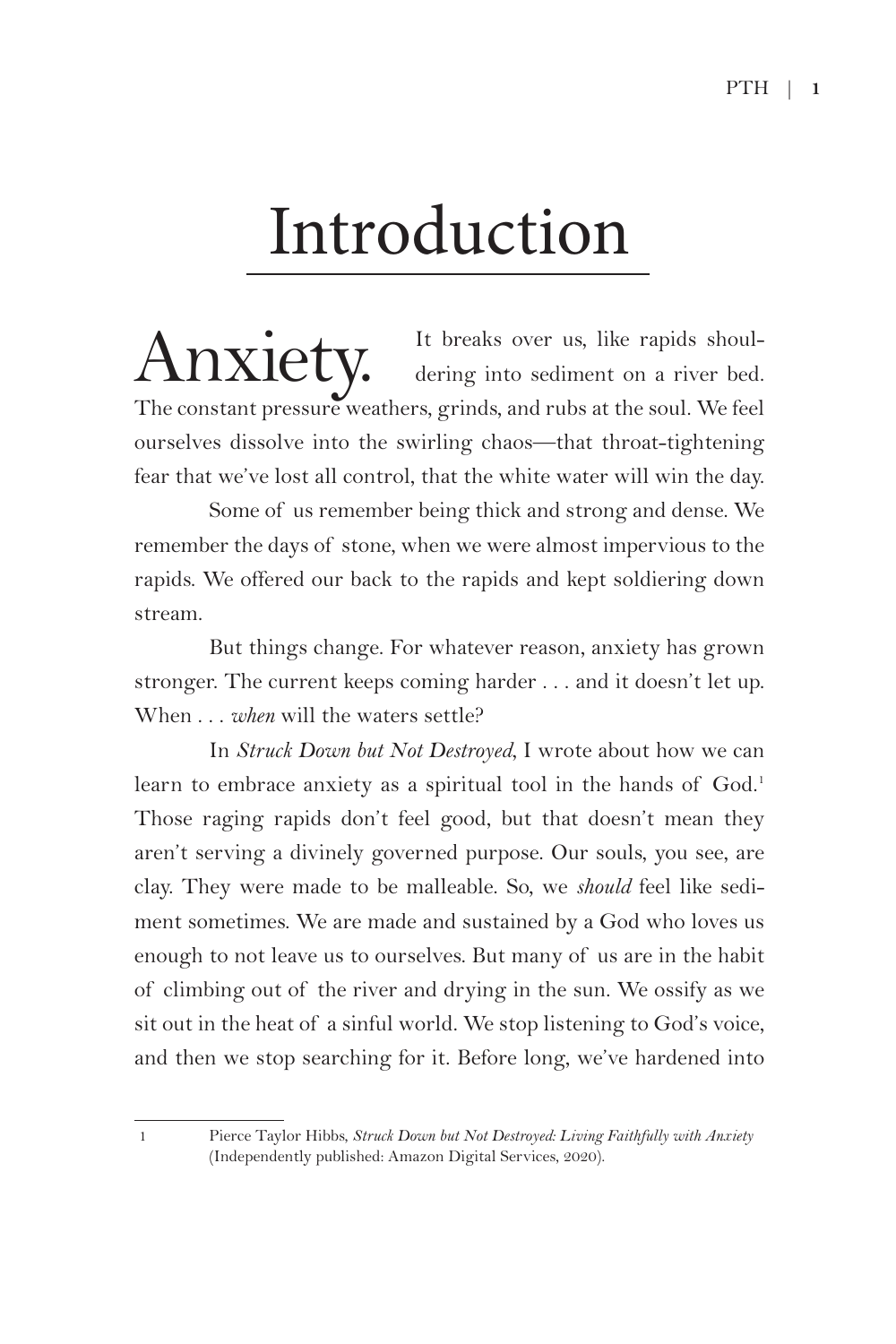# Introduction

 $\text{Anxiety.}$  It breaks over us, like rapids shoul-<br>dering into sediment on a river bed. dering into sediment on a river bed. The constant pressure weathers, grinds, and rubs at the soul. We feel ourselves dissolve into the swirling chaos—that throat-tightening fear that we've lost all control, that the white water will win the day.

Some of us remember being thick and strong and dense. We remember the days of stone, when we were almost impervious to the rapids. We offered our back to the rapids and kept soldiering down stream.

But things change. For whatever reason, anxiety has grown stronger. The current keeps coming harder . . . and it doesn't let up. When . . . *when* will the waters settle?

In *Struck Down but Not Destroyed*, I wrote about how we can learn to embrace anxiety as a spiritual tool in the hands of God.<sup>1</sup> Those raging rapids don't feel good, but that doesn't mean they aren't serving a divinely governed purpose. Our souls, you see, are clay. They were made to be malleable. So, we *should* feel like sediment sometimes. We are made and sustained by a God who loves us enough to not leave us to ourselves. But many of us are in the habit of climbing out of the river and drying in the sun. We ossify as we sit out in the heat of a sinful world. We stop listening to God's voice, and then we stop searching for it. Before long, we've hardened into

<sup>1</sup> Pierce Taylor Hibbs, *Struck Down but Not Destroyed: Living Faithfully with Anxiety* (Independently published: Amazon Digital Services, 2020).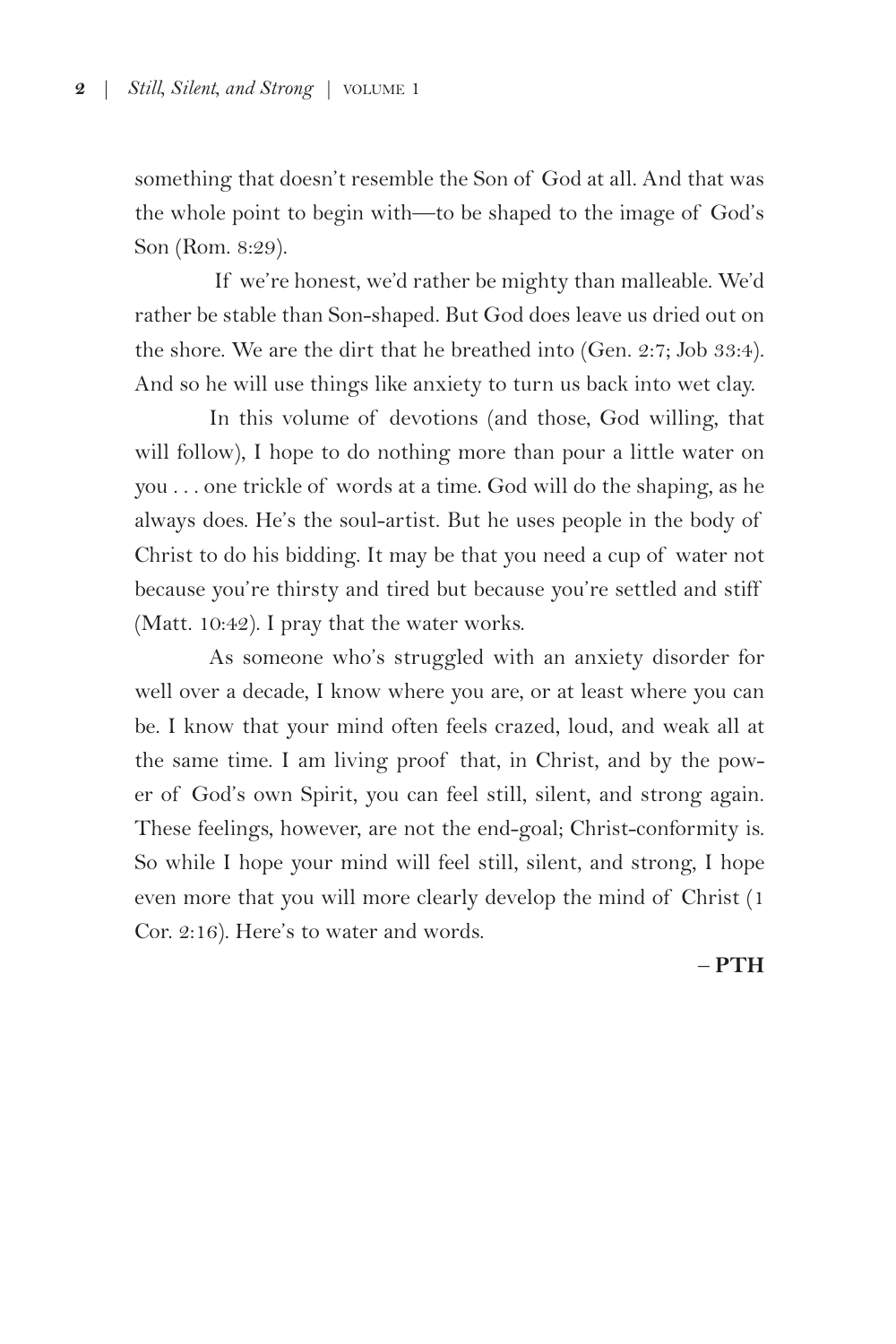something that doesn't resemble the Son of God at all. And that was the whole point to begin with—to be shaped to the image of God's Son (Rom. 8:29).

 If we're honest, we'd rather be mighty than malleable. We'd rather be stable than Son-shaped. But God does leave us dried out on the shore. We are the dirt that he breathed into (Gen. 2:7; Job 33:4). And so he will use things like anxiety to turn us back into wet clay.

In this volume of devotions (and those, God willing, that will follow), I hope to do nothing more than pour a little water on you . . . one trickle of words at a time. God will do the shaping, as he always does. He's the soul-artist. But he uses people in the body of Christ to do his bidding. It may be that you need a cup of water not because you're thirsty and tired but because you're settled and stiff (Matt. 10:42). I pray that the water works.

As someone who's struggled with an anxiety disorder for well over a decade, I know where you are, or at least where you can be. I know that your mind often feels crazed, loud, and weak all at the same time. I am living proof that, in Christ, and by the power of God's own Spirit, you can feel still, silent, and strong again. These feelings, however, are not the end-goal; Christ-conformity is. So while I hope your mind will feel still, silent, and strong, I hope even more that you will more clearly develop the mind of Christ (1 Cor. 2:16). Here's to water and words.

– **PTH**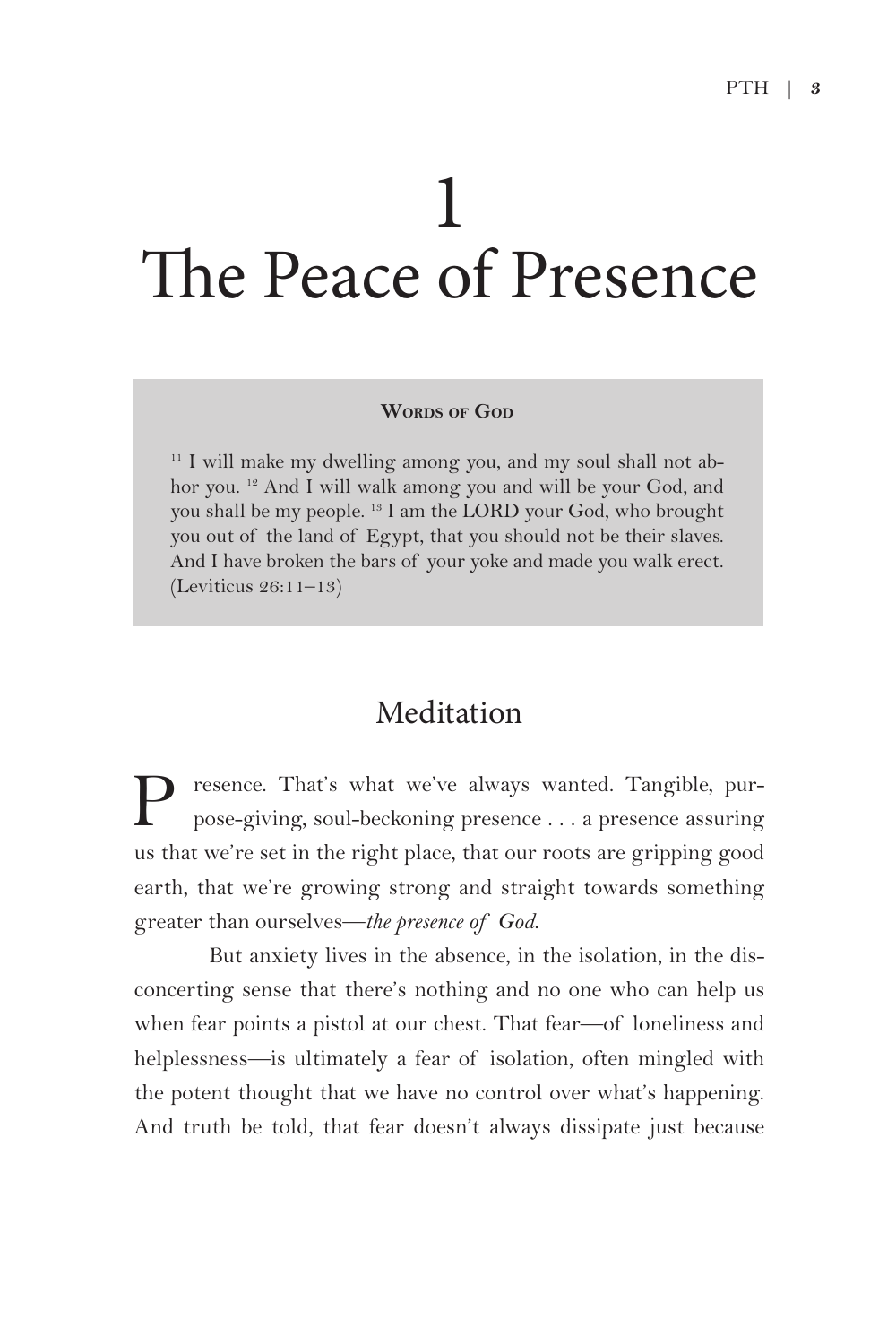# 1 The Peace of Presence

#### **WORDS** OF GOD

<sup>11</sup> I will make my dwelling among you, and my soul shall not abhor you. <sup>12</sup> And I will walk among you and will be your God, and you shall be my people. 13 I am the LORD your God, who brought you out of the land of Egypt, that you should not be their slaves. And I have broken the bars of your yoke and made you walk erect. (Leviticus 26:11–13)

### Meditation

resence. That's what we've always wanted. Tangible, purpose-giving, soul-beckoning presence . . . a presence assuring us that we're set in the right place, that our roots are gripping good earth, that we're growing strong and straight towards something greater than ourselves—*the presence of God*.

But anxiety lives in the absence, in the isolation, in the disconcerting sense that there's nothing and no one who can help us when fear points a pistol at our chest. That fear—of loneliness and helplessness—is ultimately a fear of isolation, often mingled with the potent thought that we have no control over what's happening. And truth be told, that fear doesn't always dissipate just because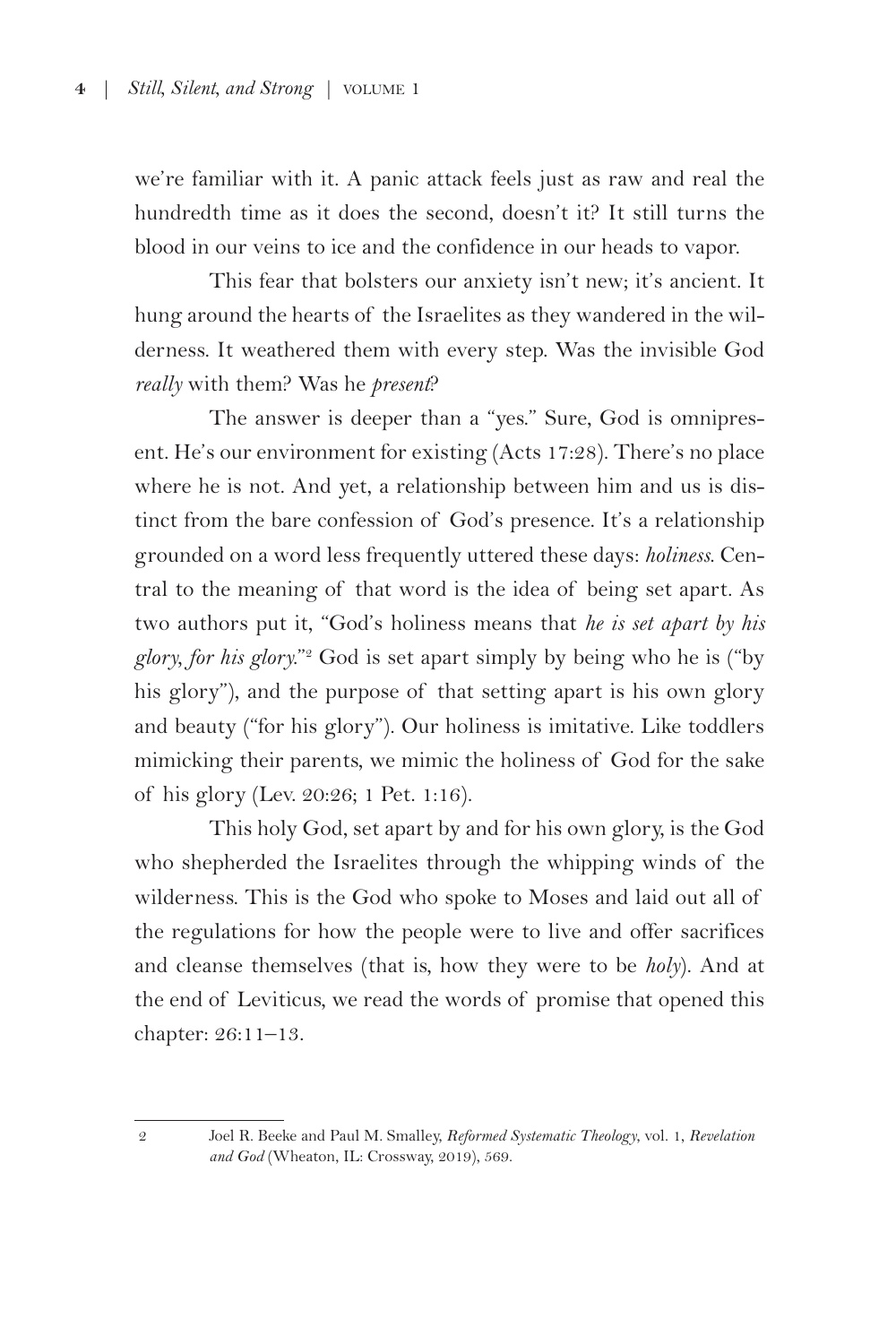we're familiar with it. A panic attack feels just as raw and real the hundredth time as it does the second, doesn't it? It still turns the blood in our veins to ice and the confidence in our heads to vapor.

This fear that bolsters our anxiety isn't new; it's ancient. It hung around the hearts of the Israelites as they wandered in the wilderness. It weathered them with every step. Was the invisible God *really* with them? Was he *present*?

The answer is deeper than a "yes." Sure, God is omnipresent. He's our environment for existing (Acts 17:28). There's no place where he is not. And yet, a relationship between him and us is distinct from the bare confession of God's presence. It's a relationship grounded on a word less frequently uttered these days: *holiness*. Central to the meaning of that word is the idea of being set apart. As two authors put it, "God's holiness means that *he is set apart by his glory, for his glory.*"2 God is set apart simply by being who he is ("by his glory"), and the purpose of that setting apart is his own glory and beauty ("for his glory"). Our holiness is imitative. Like toddlers mimicking their parents, we mimic the holiness of God for the sake of his glory (Lev. 20:26; 1 Pet. 1:16).

This holy God, set apart by and for his own glory, is the God who shepherded the Israelites through the whipping winds of the wilderness. This is the God who spoke to Moses and laid out all of the regulations for how the people were to live and offer sacrifices and cleanse themselves (that is, how they were to be *holy*). And at the end of Leviticus, we read the words of promise that opened this chapter: 26:11–13.

<sup>2</sup> Joel R. Beeke and Paul M. Smalley, *Reformed Systematic Theology*, vol. 1, *Revelation and God* (Wheaton, IL: Crossway, 2019), 569.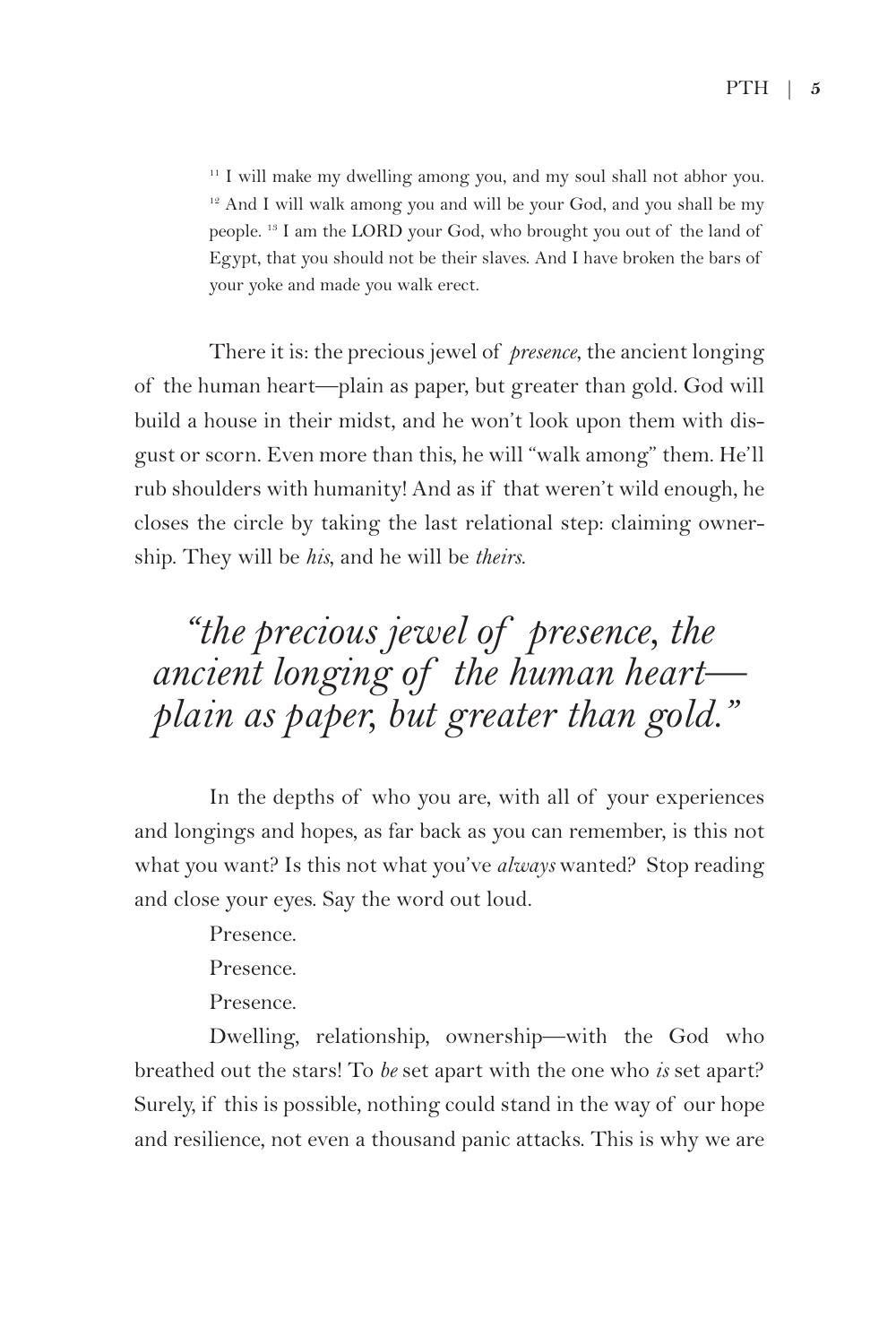<sup>11</sup> I will make my dwelling among you, and my soul shall not abhor you. <sup>12</sup> And I will walk among you and will be your God, and you shall be my people. 13 I am the LORD your God, who brought you out of the land of Egypt, that you should not be their slaves. And I have broken the bars of your yoke and made you walk erect.

There it is: the precious jewel of *presence*, the ancient longing of the human heart—plain as paper, but greater than gold. God will build a house in their midst, and he won't look upon them with disgust or scorn. Even more than this, he will "walk among" them. He'll rub shoulders with humanity! And as if that weren't wild enough, he closes the circle by taking the last relational step: claiming ownership. They will be *his*, and he will be *theirs*.

## *"the precious jewel of presence, the ancient longing of the human heart plain as paper, but greater than gold."*

In the depths of who you are, with all of your experiences and longings and hopes, as far back as you can remember, is this not what you want? Is this not what you've *always* wanted? Stop reading and close your eyes. Say the word out loud.

Presence.

Presence.

Presence.

Dwelling, relationship, ownership—with the God who breathed out the stars! To *be* set apart with the one who *is* set apart? Surely, if this is possible, nothing could stand in the way of our hope and resilience, not even a thousand panic attacks. This is why we are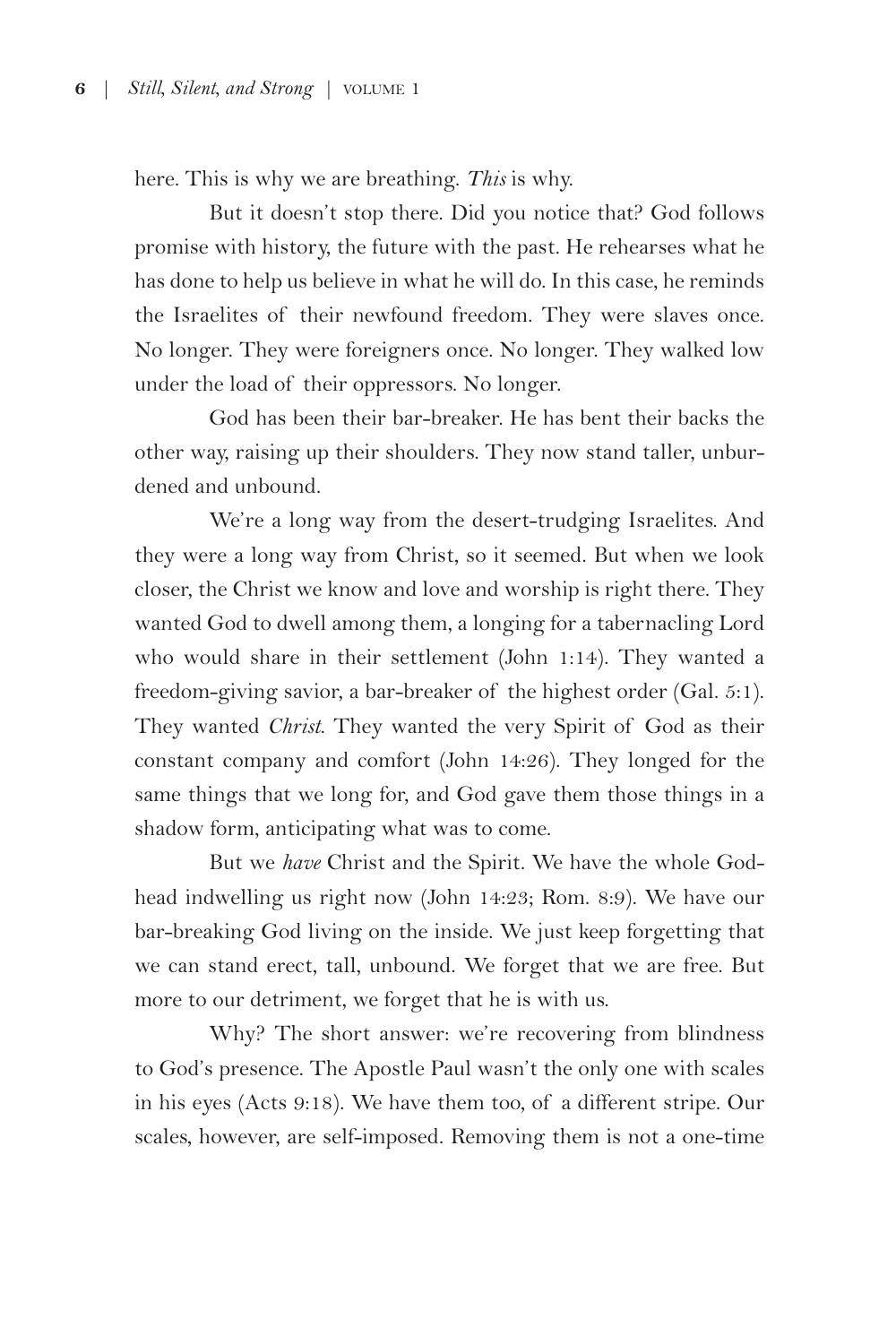here. This is why we are breathing. *This* is why.

But it doesn't stop there. Did you notice that? God follows promise with history, the future with the past. He rehearses what he has done to help us believe in what he will do. In this case, he reminds the Israelites of their newfound freedom. They were slaves once. No longer. They were foreigners once. No longer. They walked low under the load of their oppressors. No longer.

God has been their bar-breaker. He has bent their backs the other way, raising up their shoulders. They now stand taller, unburdened and unbound.

We're a long way from the desert-trudging Israelites. And they were a long way from Christ, so it seemed. But when we look closer, the Christ we know and love and worship is right there. They wanted God to dwell among them, a longing for a tabernacling Lord who would share in their settlement (John 1:14). They wanted a freedom-giving savior, a bar-breaker of the highest order (Gal. 5:1). They wanted *Christ*. They wanted the very Spirit of God as their constant company and comfort (John 14:26). They longed for the same things that we long for, and God gave them those things in a shadow form, anticipating what was to come.

But we *have* Christ and the Spirit. We have the whole Godhead indwelling us right now (John 14:23; Rom. 8:9). We have our bar-breaking God living on the inside. We just keep forgetting that we can stand erect, tall, unbound. We forget that we are free. But more to our detriment, we forget that he is with us.

Why? The short answer: we're recovering from blindness to God's presence. The Apostle Paul wasn't the only one with scales in his eyes (Acts 9:18). We have them too, of a different stripe. Our scales, however, are self-imposed. Removing them is not a one-time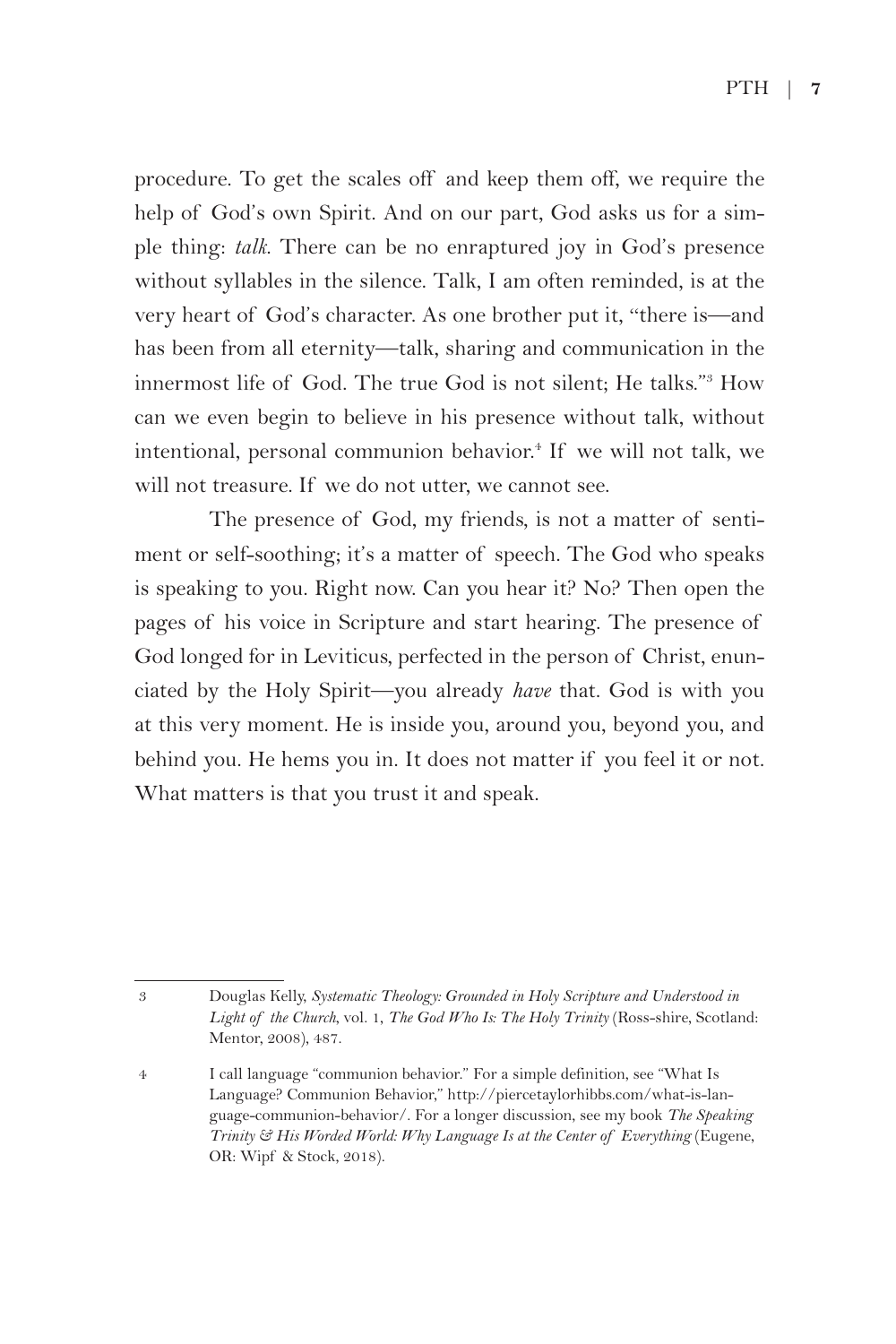PTH| **7**

procedure. To get the scales off and keep them off, we require the help of God's own Spirit. And on our part, God asks us for a simple thing: *talk*. There can be no enraptured joy in God's presence without syllables in the silence. Talk, I am often reminded, is at the very heart of God's character. As one brother put it, "there is—and has been from all eternity—talk, sharing and communication in the innermost life of God. The true God is not silent; He talks."3 How can we even begin to believe in his presence without talk, without intentional, personal communion behavior.<sup>4</sup> If we will not talk, we will not treasure. If we do not utter, we cannot see.

The presence of God, my friends, is not a matter of sentiment or self-soothing; it's a matter of speech. The God who speaks is speaking to you. Right now. Can you hear it? No? Then open the pages of his voice in Scripture and start hearing. The presence of God longed for in Leviticus, perfected in the person of Christ, enunciated by the Holy Spirit—you already *have* that. God is with you at this very moment. He is inside you, around you, beyond you, and behind you. He hems you in. It does not matter if you feel it or not. What matters is that you trust it and speak.

<sup>3</sup> Douglas Kelly, *Systematic Theology: Grounded in Holy Scripture and Understood in Light of the Church*, vol. 1, *The God Who Is: The Holy Trinity* (Ross-shire, Scotland: Mentor, 2008), 487.

<sup>4</sup> I call language "communion behavior." For a simple definition, see "What Is Language? Communion Behavior," http://piercetaylorhibbs.com/what-is-language-communion-behavior/. For a longer discussion, see my book *The Speaking Trinity & His Worded World: Why Language Is at the Center of Everything* (Eugene, OR: Wipf & Stock, 2018).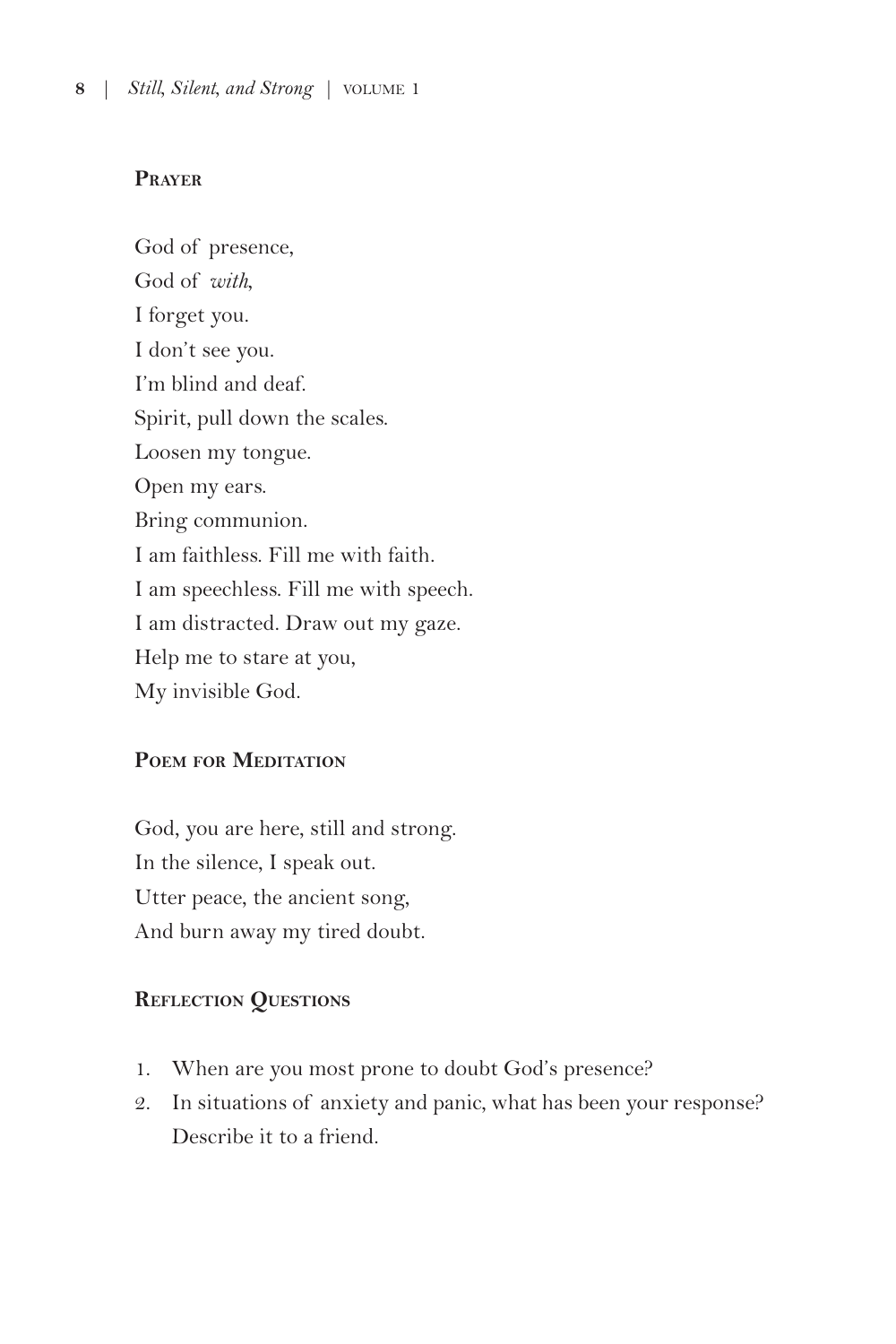#### **Prayer**

God of presence, God of *with*, I forget you. I don't see you. I'm blind and deaf. Spirit, pull down the scales. Loosen my tongue. Open my ears. Bring communion. I am faithless. Fill me with faith. I am speechless. Fill me with speech. I am distracted. Draw out my gaze. Help me to stare at you, My invisible God.

#### **Poem for Meditation**

God, you are here, still and strong. In the silence, I speak out. Utter peace, the ancient song, And burn away my tired doubt.

#### **Reflection Questions**

- 1. When are you most prone to doubt God's presence?
- 2. In situations of anxiety and panic, what has been your response? Describe it to a friend.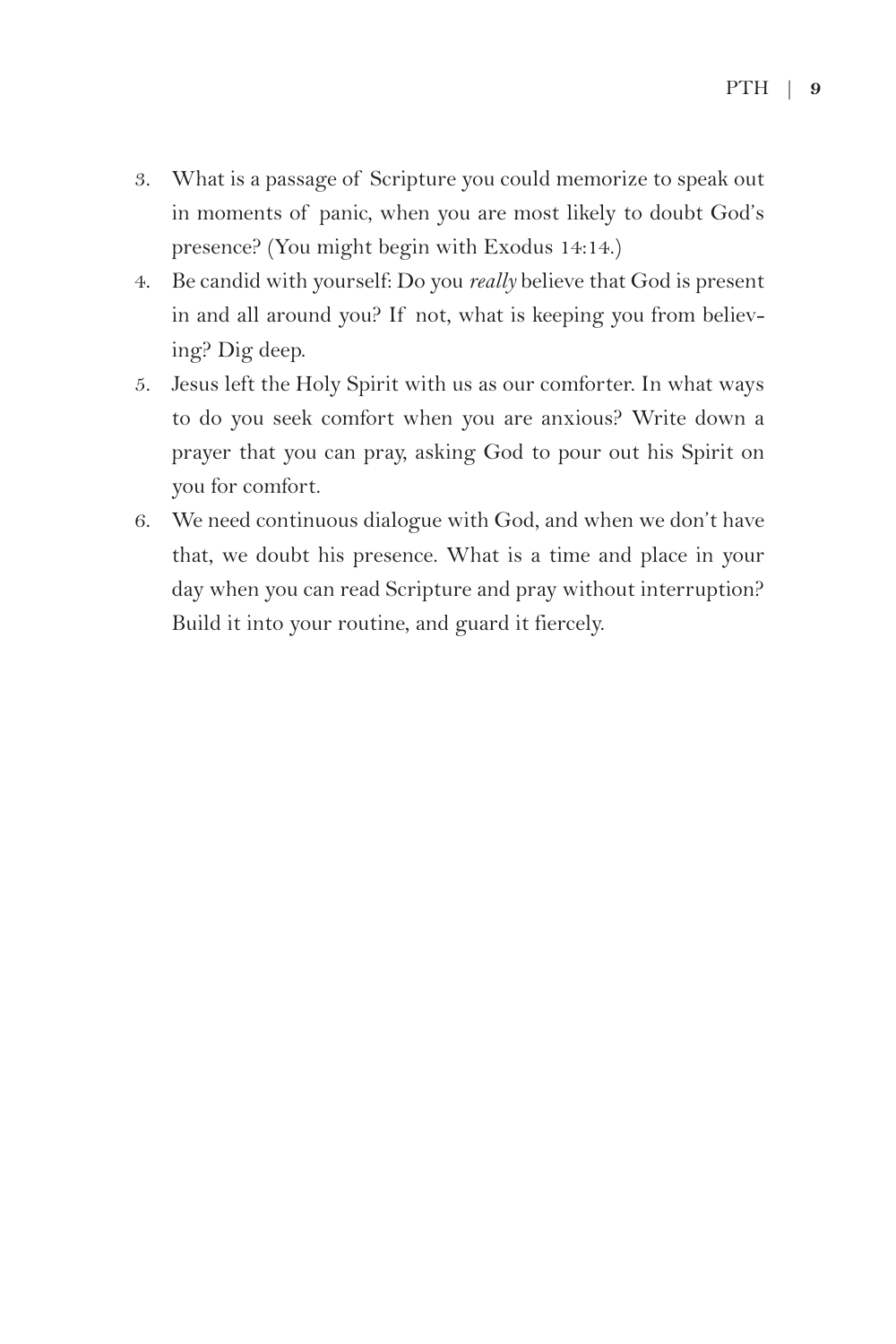- 3. What is a passage of Scripture you could memorize to speak out in moments of panic, when you are most likely to doubt God's presence? (You might begin with Exodus 14:14.)
- 4. Be candid with yourself: Do you *really* believe that God is present in and all around you? If not, what is keeping you from believing? Dig deep.
- 5. Jesus left the Holy Spirit with us as our comforter. In what ways to do you seek comfort when you are anxious? Write down a prayer that you can pray, asking God to pour out his Spirit on you for comfort.
- 6. We need continuous dialogue with God, and when we don't have that, we doubt his presence. What is a time and place in your day when you can read Scripture and pray without interruption? Build it into your routine, and guard it fiercely.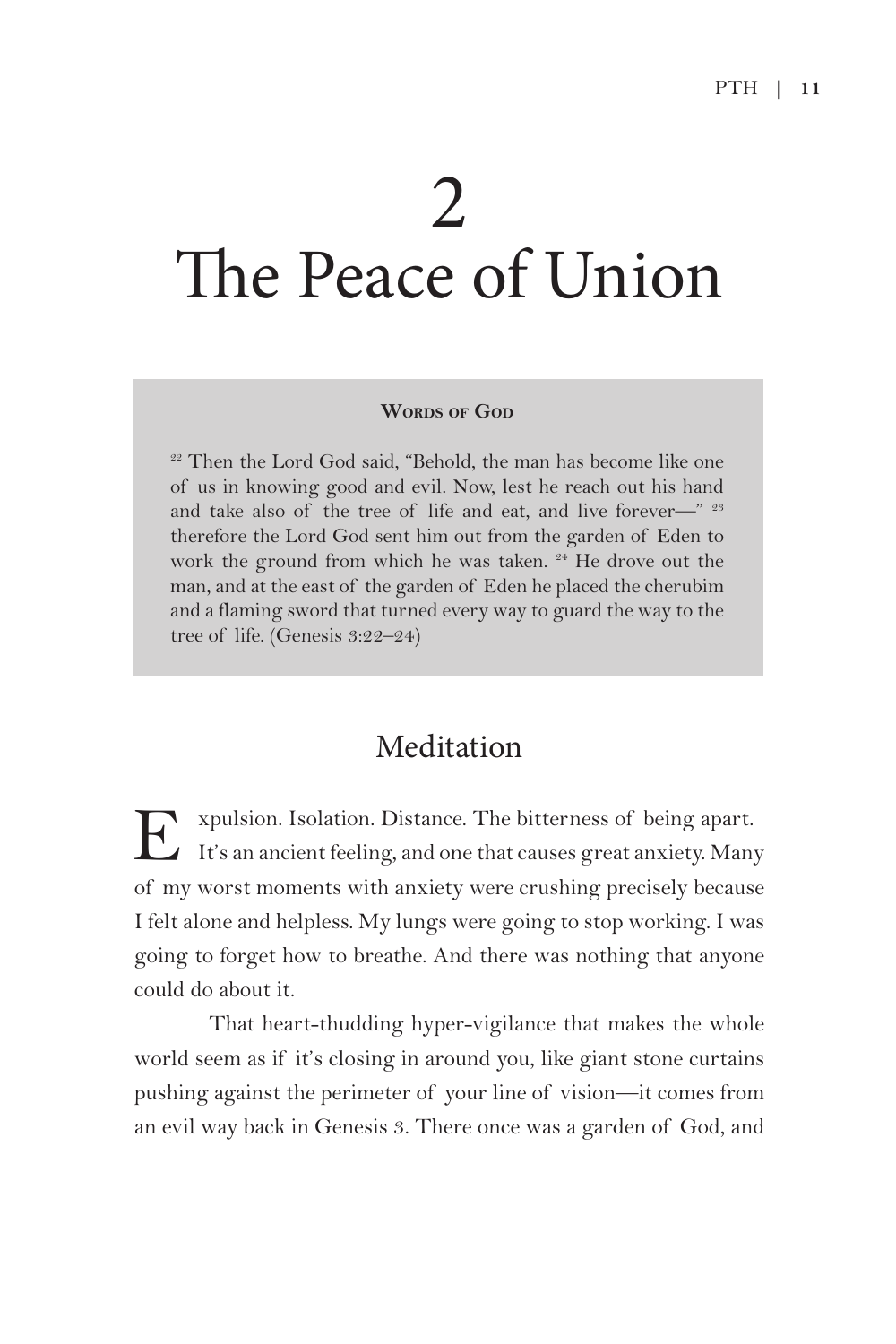# 2 The Peace of Union

#### **WORDS** OF GOD

<sup>22</sup> Then the Lord God said, "Behold, the man has become like one of us in knowing good and evil. Now, lest he reach out his hand and take also of the tree of life and eat, and live forever—"  $23$ therefore the Lord God sent him out from the garden of Eden to work the ground from which he was taken. <sup>24</sup> He drove out the man, and at the east of the garden of Eden he placed the cherubim and a flaming sword that turned every way to guard the way to the tree of life. (Genesis 3:22–24)

### Meditation

E xpulsion. Isolation. Distance. The bitterness of being apart. It's an ancient feeling, and one that causes great anxiety. Many of my worst moments with anxiety were crushing precisely because I felt alone and helpless. My lungs were going to stop working. I was going to forget how to breathe. And there was nothing that anyone could do about it.

That heart-thudding hyper-vigilance that makes the whole world seem as if it's closing in around you, like giant stone curtains pushing against the perimeter of your line of vision—it comes from an evil way back in Genesis 3. There once was a garden of God, and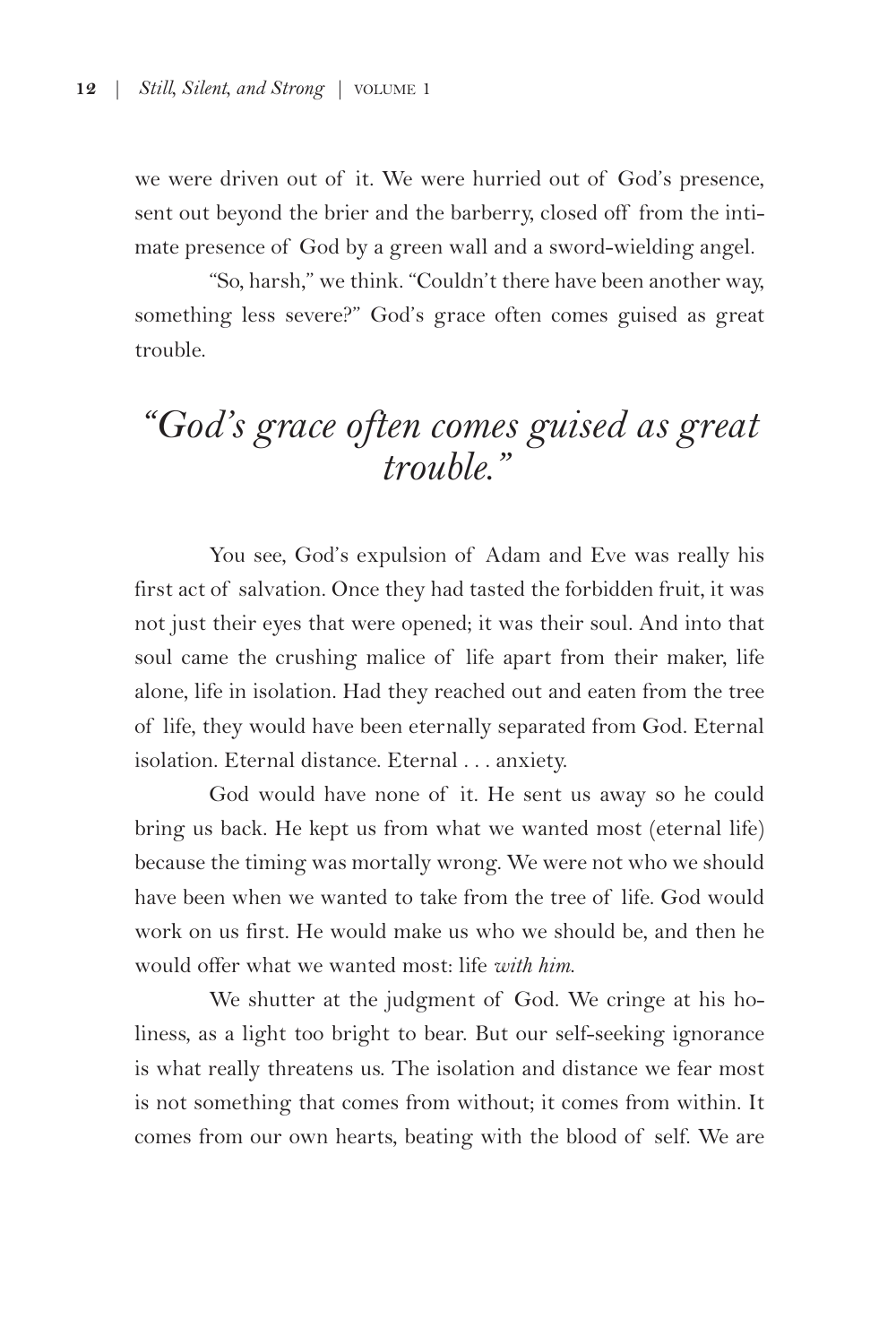we were driven out of it. We were hurried out of God's presence, sent out beyond the brier and the barberry, closed off from the intimate presence of God by a green wall and a sword-wielding angel.

"So, harsh," we think. "Couldn't there have been another way, something less severe?" God's grace often comes guised as great trouble.

## *"God's grace often comes guised as great trouble."*

You see, God's expulsion of Adam and Eve was really his first act of salvation. Once they had tasted the forbidden fruit, it was not just their eyes that were opened; it was their soul. And into that soul came the crushing malice of life apart from their maker, life alone, life in isolation. Had they reached out and eaten from the tree of life, they would have been eternally separated from God. Eternal isolation. Eternal distance. Eternal . . . anxiety.

God would have none of it. He sent us away so he could bring us back. He kept us from what we wanted most (eternal life) because the timing was mortally wrong. We were not who we should have been when we wanted to take from the tree of life. God would work on us first. He would make us who we should be, and then he would offer what we wanted most: life *with him*.

We shutter at the judgment of God. We cringe at his holiness, as a light too bright to bear. But our self-seeking ignorance is what really threatens us. The isolation and distance we fear most is not something that comes from without; it comes from within. It comes from our own hearts, beating with the blood of self. We are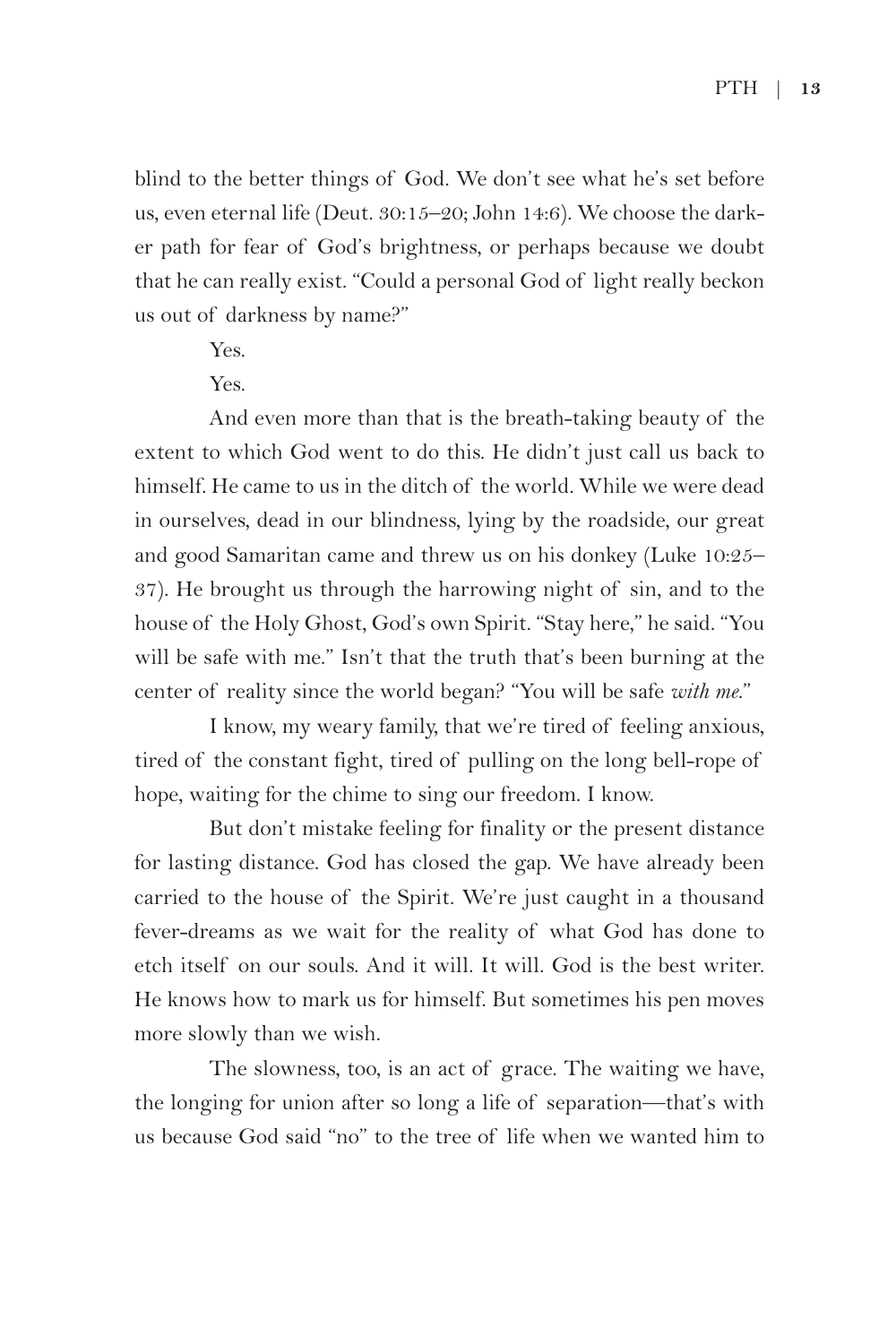blind to the better things of God. We don't see what he's set before us, even eternal life (Deut. 30:15–20; John 14:6). We choose the darker path for fear of God's brightness, or perhaps because we doubt that he can really exist. "Could a personal God of light really beckon us out of darkness by name?"

Yes.

 $Y_{\rho s}$ .

And even more than that is the breath-taking beauty of the extent to which God went to do this. He didn't just call us back to himself. He came to us in the ditch of the world. While we were dead in ourselves, dead in our blindness, lying by the roadside, our great and good Samaritan came and threw us on his donkey (Luke 10:25– 37). He brought us through the harrowing night of sin, and to the house of the Holy Ghost, God's own Spirit. "Stay here," he said. "You will be safe with me." Isn't that the truth that's been burning at the center of reality since the world began? "You will be safe *with me*."

I know, my weary family, that we're tired of feeling anxious, tired of the constant fight, tired of pulling on the long bell-rope of hope, waiting for the chime to sing our freedom. I know.

But don't mistake feeling for finality or the present distance for lasting distance. God has closed the gap. We have already been carried to the house of the Spirit. We're just caught in a thousand fever-dreams as we wait for the reality of what God has done to etch itself on our souls. And it will. It will. God is the best writer. He knows how to mark us for himself. But sometimes his pen moves more slowly than we wish.

The slowness, too, is an act of grace. The waiting we have, the longing for union after so long a life of separation—that's with us because God said "no" to the tree of life when we wanted him to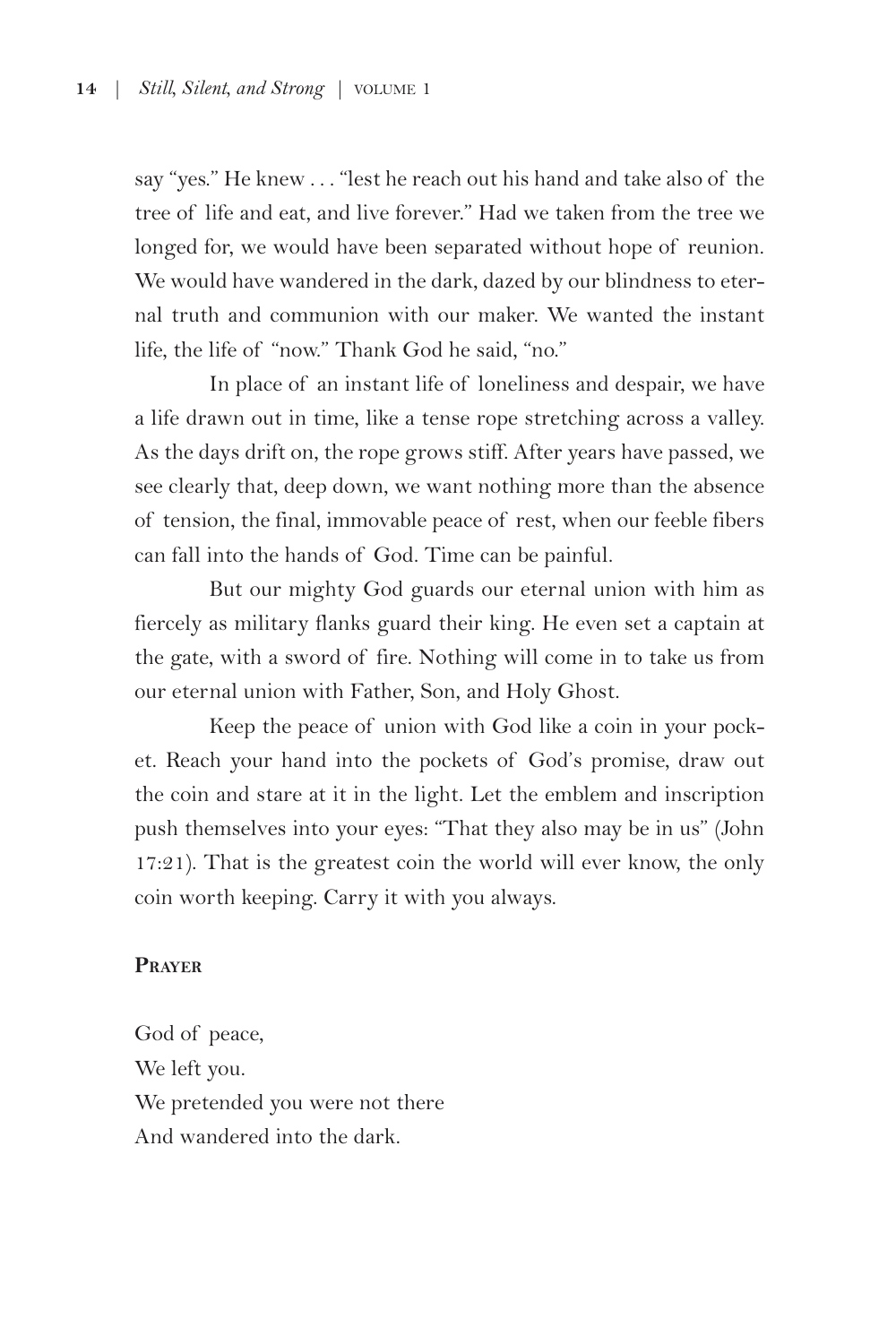say "yes." He knew . . . "lest he reach out his hand and take also of the tree of life and eat, and live forever." Had we taken from the tree we longed for, we would have been separated without hope of reunion. We would have wandered in the dark, dazed by our blindness to eternal truth and communion with our maker. We wanted the instant life, the life of "now." Thank God he said, "no."

In place of an instant life of loneliness and despair, we have a life drawn out in time, like a tense rope stretching across a valley. As the days drift on, the rope grows stiff. After years have passed, we see clearly that, deep down, we want nothing more than the absence of tension, the final, immovable peace of rest, when our feeble fibers can fall into the hands of God. Time can be painful.

But our mighty God guards our eternal union with him as fiercely as military flanks guard their king. He even set a captain at the gate, with a sword of fire. Nothing will come in to take us from our eternal union with Father, Son, and Holy Ghost.

Keep the peace of union with God like a coin in your pocket. Reach your hand into the pockets of God's promise, draw out the coin and stare at it in the light. Let the emblem and inscription push themselves into your eyes: "That they also may be in us" (John 17:21). That is the greatest coin the world will ever know, the only coin worth keeping. Carry it with you always.

#### **Prayer**

God of peace, We left you. We pretended you were not there And wandered into the dark.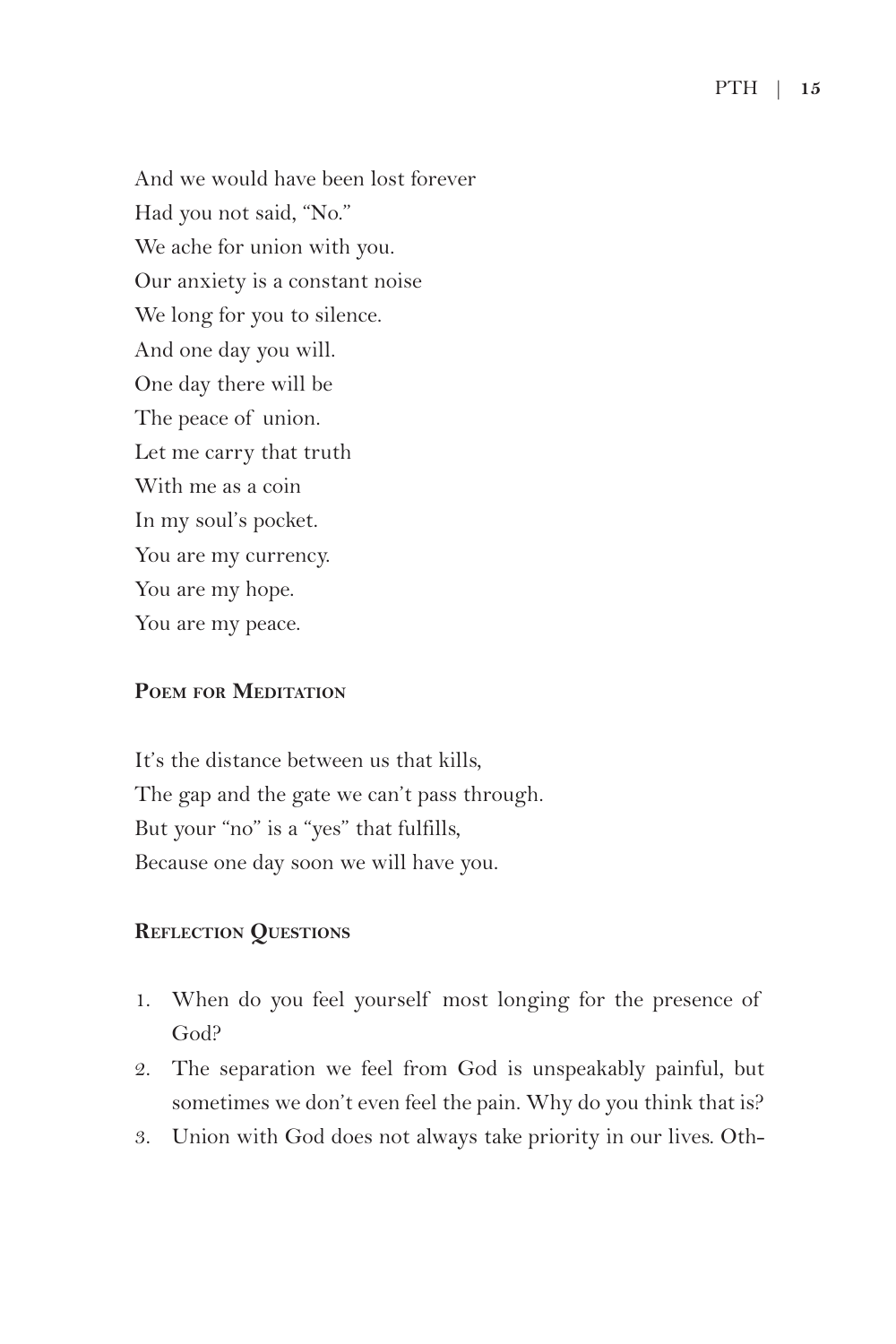And we would have been lost forever Had you not said, "No." We ache for union with you. Our anxiety is a constant noise We long for you to silence. And one day you will. One day there will be The peace of union. Let me carry that truth With me as a coin In my soul's pocket. You are my currency. You are my hope. You are my peace.

#### **Poem for Meditation**

It's the distance between us that kills, The gap and the gate we can't pass through. But your "no" is a "yes" that fulfills, Because one day soon we will have you.

#### **Reflection Questions**

- 1. When do you feel yourself most longing for the presence of God?
- 2. The separation we feel from God is unspeakably painful, but sometimes we don't even feel the pain. Why do you think that is?
- 3. Union with God does not always take priority in our lives. Oth-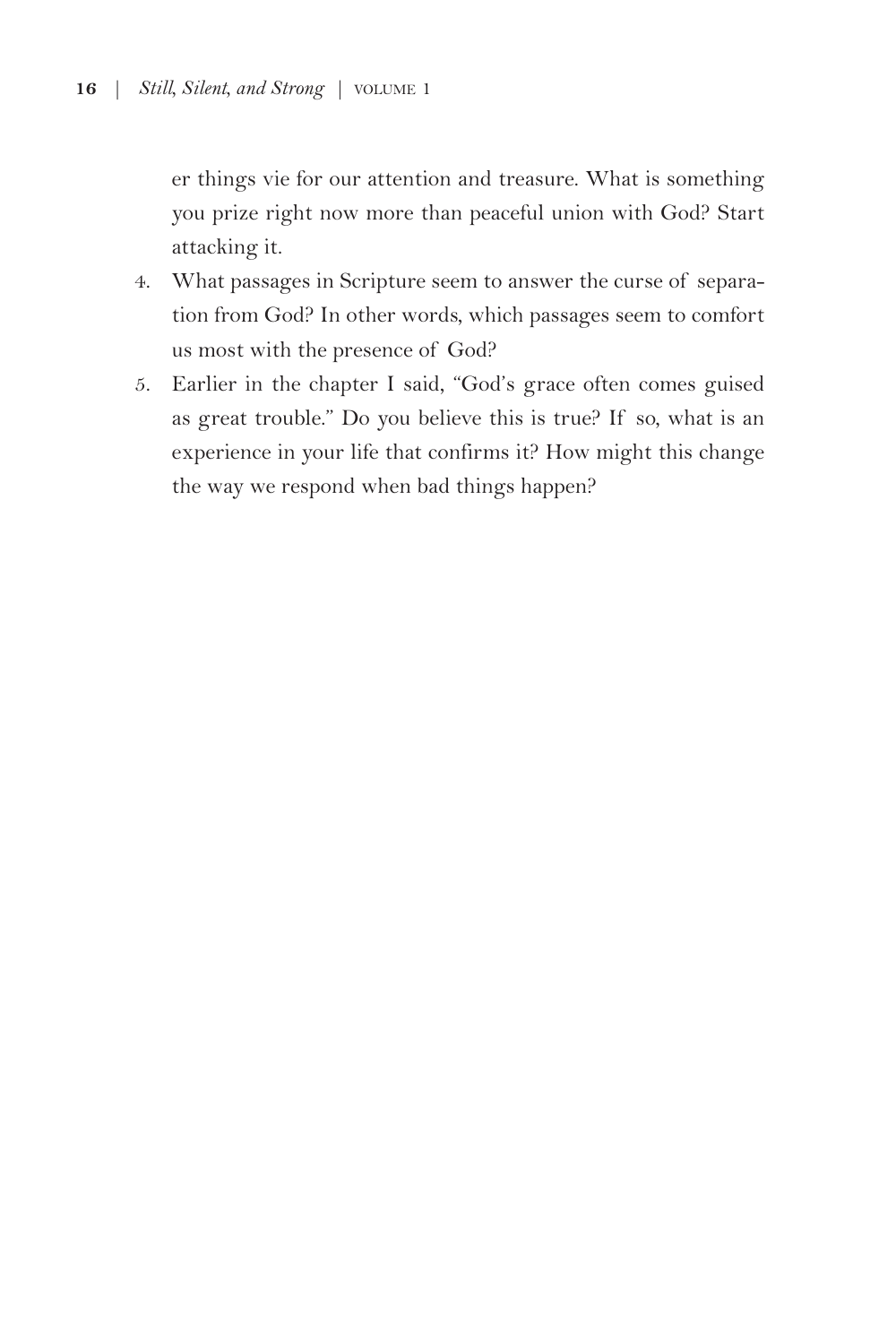er things vie for our attention and treasure. What is something you prize right now more than peaceful union with God? Start attacking it.

- 4. What passages in Scripture seem to answer the curse of separation from God? In other words, which passages seem to comfort us most with the presence of God?
- 5. Earlier in the chapter I said, "God's grace often comes guised as great trouble." Do you believe this is true? If so, what is an experience in your life that confirms it? How might this change the way we respond when bad things happen?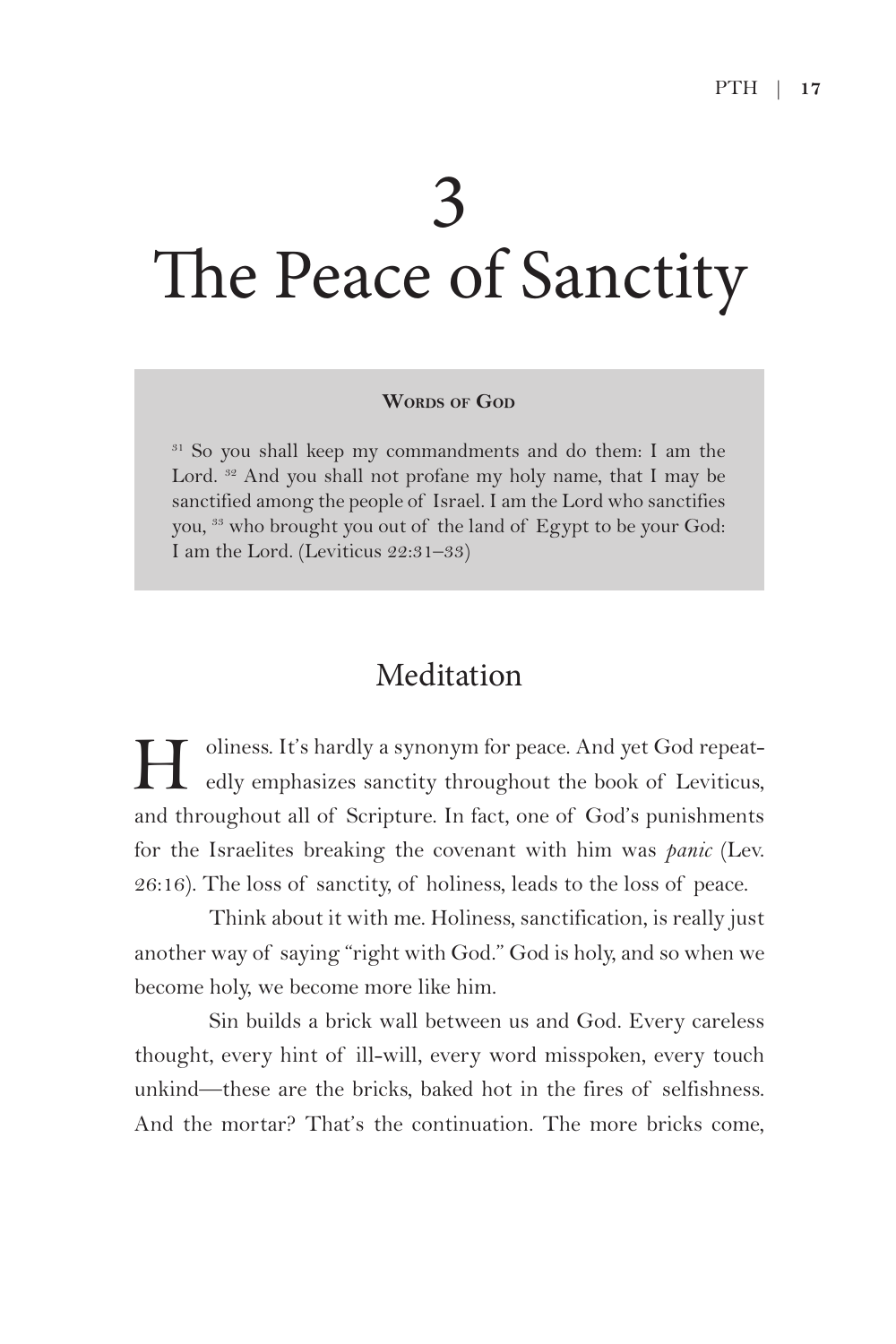# 3 The Peace of Sanctity

#### **WORDS** OF GOD

<sup>31</sup> So you shall keep my commandments and do them: I am the Lord. <sup>32</sup> And you shall not profane my holy name, that I may be sanctified among the people of Israel. I am the Lord who sanctifies you, 33 who brought you out of the land of Egypt to be your God: I am the Lord. (Leviticus 22:31–33)

### Meditation

H oliness. It's hardly a synonym for peace. And yet God repeat-edly emphasizes sanctity throughout the book of Leviticus, and throughout all of Scripture. In fact, one of God's punishments for the Israelites breaking the covenant with him was *panic* (Lev. 26:16). The loss of sanctity, of holiness, leads to the loss of peace.

Think about it with me. Holiness, sanctification, is really just another way of saying "right with God." God is holy, and so when we become holy, we become more like him.

Sin builds a brick wall between us and God. Every careless thought, every hint of ill-will, every word misspoken, every touch unkind—these are the bricks, baked hot in the fires of selfishness. And the mortar? That's the continuation. The more bricks come,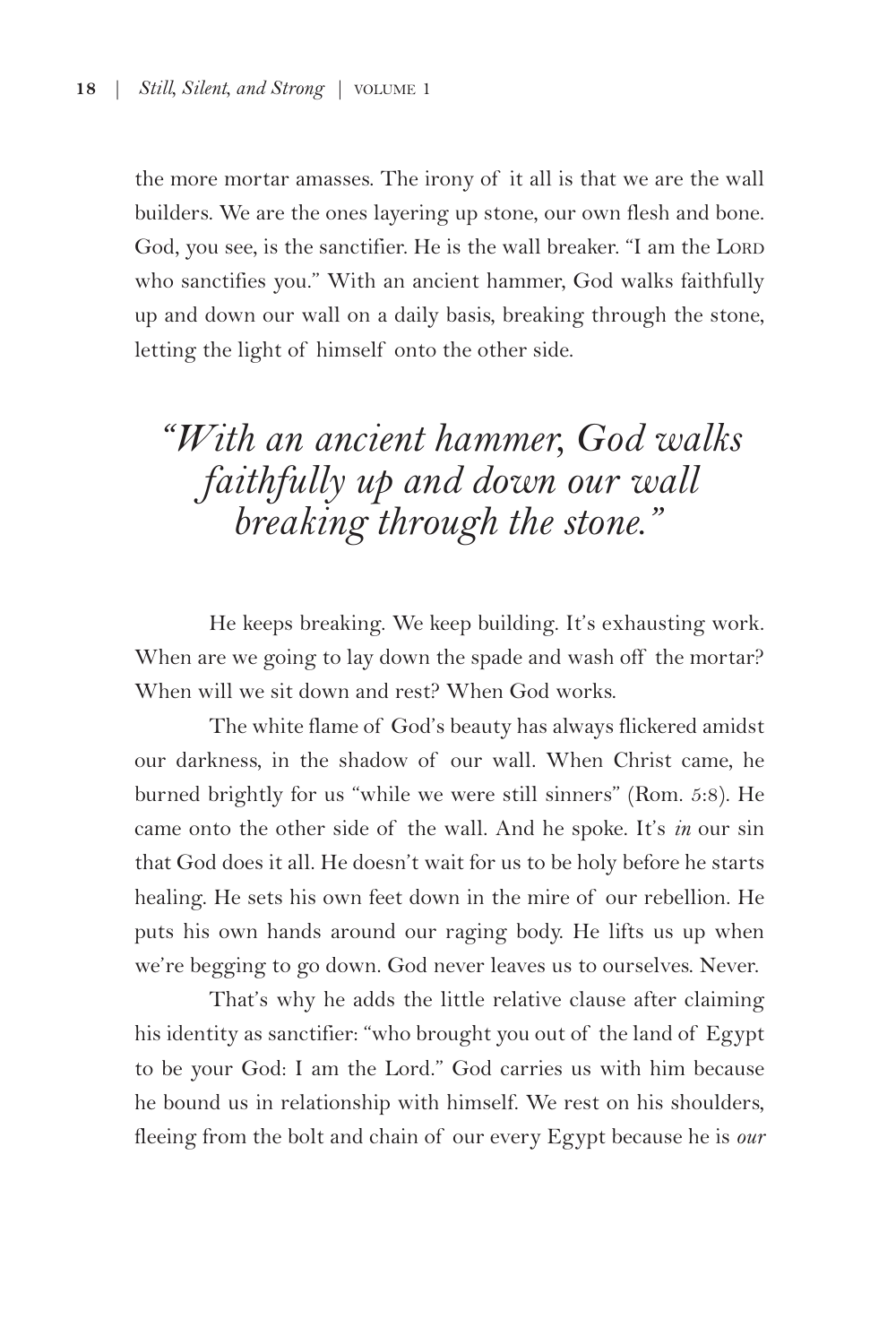the more mortar amasses. The irony of it all is that we are the wall builders. We are the ones layering up stone, our own flesh and bone. God, you see, is the sanctifier. He is the wall breaker. "I am the LORD who sanctifies you." With an ancient hammer, God walks faithfully up and down our wall on a daily basis, breaking through the stone, letting the light of himself onto the other side.

## *"With an ancient hammer, God walks faithfully up and down our wall breaking through the stone."*

He keeps breaking. We keep building. It's exhausting work. When are we going to lay down the spade and wash off the mortar? When will we sit down and rest? When God works.

The white flame of God's beauty has always flickered amidst our darkness, in the shadow of our wall. When Christ came, he burned brightly for us "while we were still sinners" (Rom. 5:8). He came onto the other side of the wall. And he spoke. It's *in* our sin that God does it all. He doesn't wait for us to be holy before he starts healing. He sets his own feet down in the mire of our rebellion. He puts his own hands around our raging body. He lifts us up when we're begging to go down. God never leaves us to ourselves. Never.

That's why he adds the little relative clause after claiming his identity as sanctifier: "who brought you out of the land of Egypt to be your God: I am the Lord." God carries us with him because he bound us in relationship with himself. We rest on his shoulders, fleeing from the bolt and chain of our every Egypt because he is *our*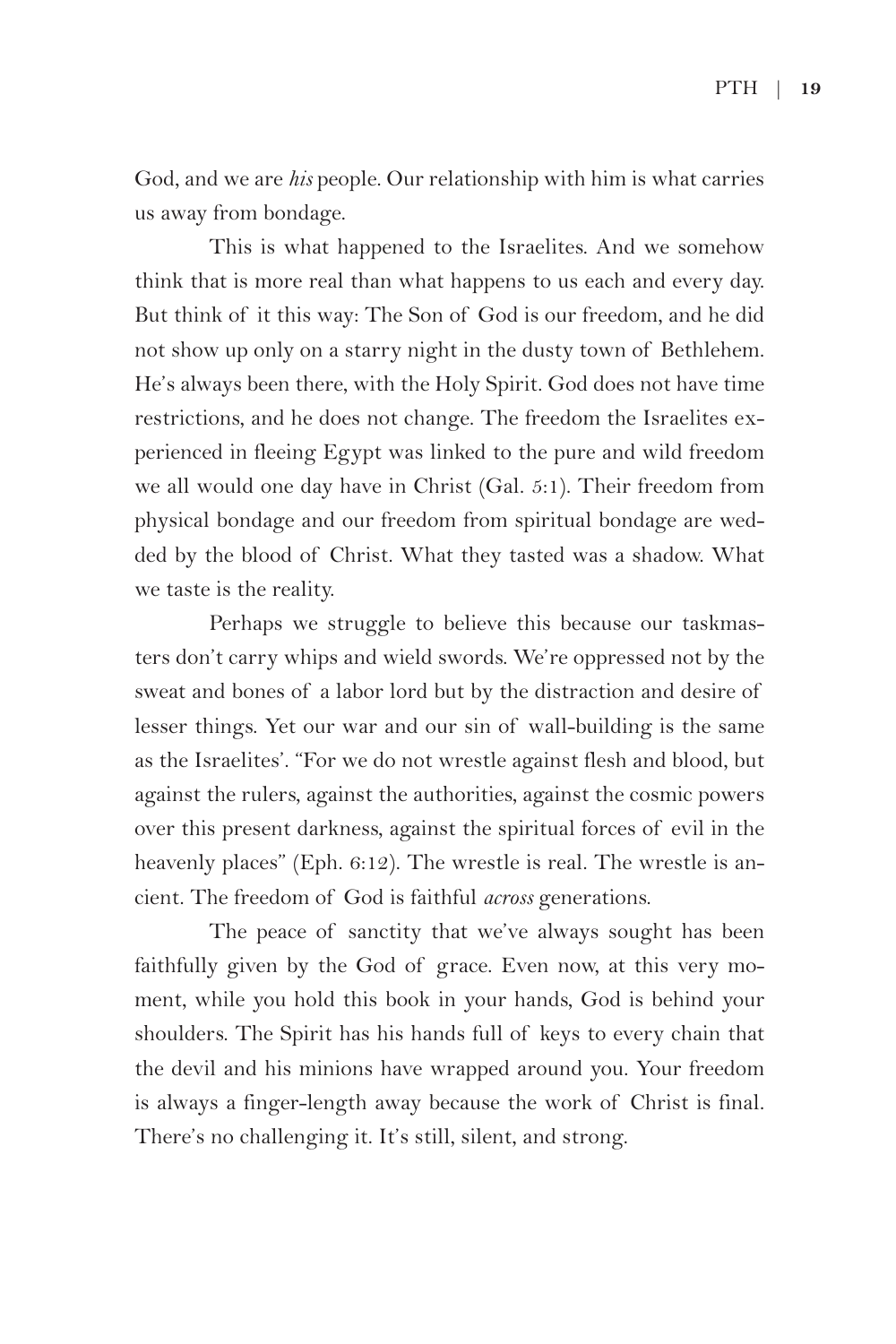God, and we are *his* people. Our relationship with him is what carries us away from bondage.

This is what happened to the Israelites. And we somehow think that is more real than what happens to us each and every day. But think of it this way: The Son of God is our freedom, and he did not show up only on a starry night in the dusty town of Bethlehem. He's always been there, with the Holy Spirit. God does not have time restrictions, and he does not change. The freedom the Israelites experienced in fleeing Egypt was linked to the pure and wild freedom we all would one day have in Christ (Gal. 5:1). Their freedom from physical bondage and our freedom from spiritual bondage are wedded by the blood of Christ. What they tasted was a shadow. What we taste is the reality.

Perhaps we struggle to believe this because our taskmasters don't carry whips and wield swords. We're oppressed not by the sweat and bones of a labor lord but by the distraction and desire of lesser things. Yet our war and our sin of wall-building is the same as the Israelites'. "For we do not wrestle against flesh and blood, but against the rulers, against the authorities, against the cosmic powers over this present darkness, against the spiritual forces of evil in the heavenly places" (Eph. 6:12). The wrestle is real. The wrestle is ancient. The freedom of God is faithful *across* generations.

The peace of sanctity that we've always sought has been faithfully given by the God of grace. Even now, at this very moment, while you hold this book in your hands, God is behind your shoulders. The Spirit has his hands full of keys to every chain that the devil and his minions have wrapped around you. Your freedom is always a finger-length away because the work of Christ is final. There's no challenging it. It's still, silent, and strong.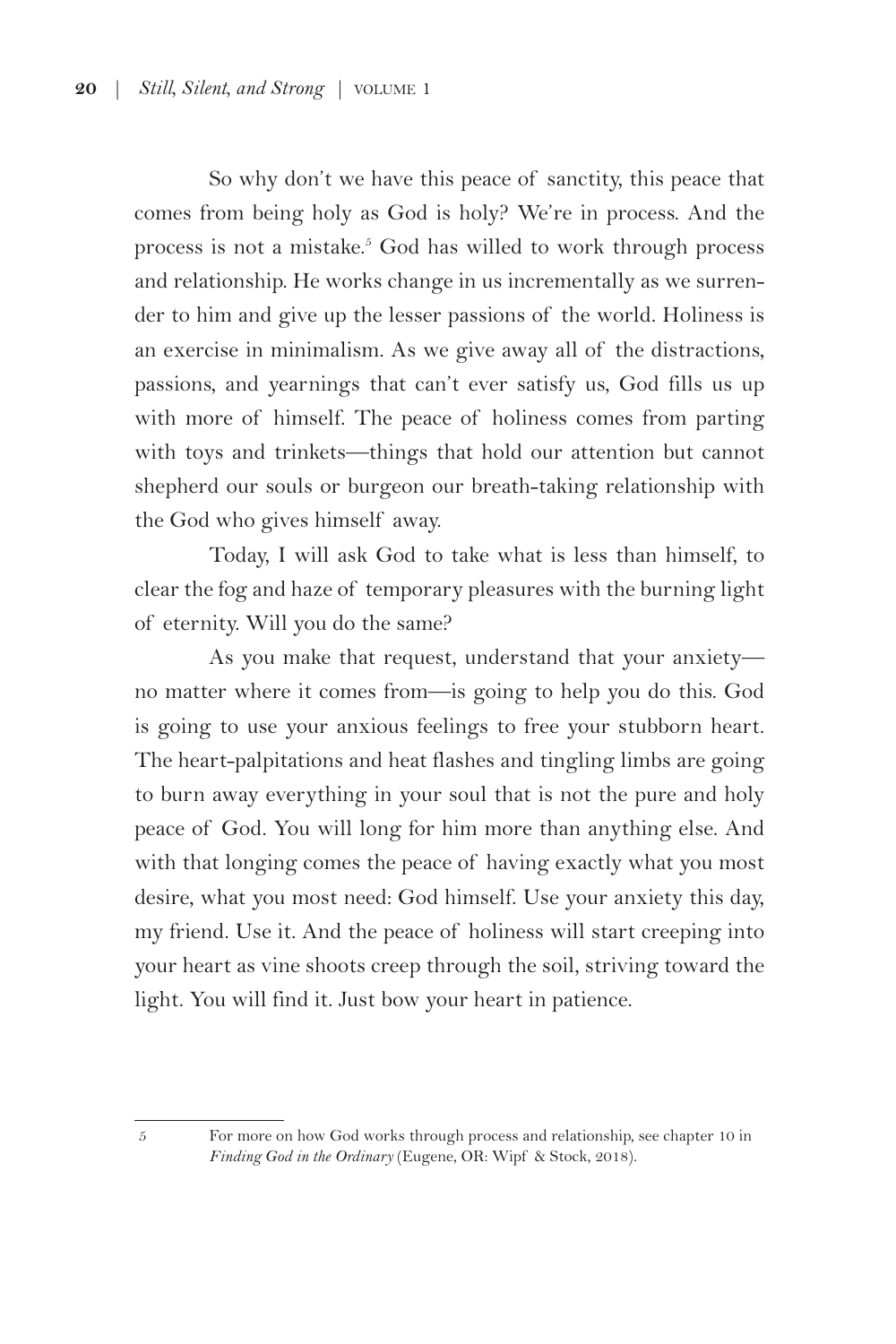So why don't we have this peace of sanctity, this peace that comes from being holy as God is holy? We're in process. And the process is not a mistake.<sup>5</sup> God has willed to work through process and relationship. He works change in us incrementally as we surrender to him and give up the lesser passions of the world. Holiness is an exercise in minimalism. As we give away all of the distractions, passions, and yearnings that can't ever satisfy us, God fills us up with more of himself. The peace of holiness comes from parting with toys and trinkets—things that hold our attention but cannot shepherd our souls or burgeon our breath-taking relationship with the God who gives himself away.

Today, I will ask God to take what is less than himself, to clear the fog and haze of temporary pleasures with the burning light of eternity. Will you do the same?

As you make that request, understand that your anxiety no matter where it comes from—is going to help you do this. God is going to use your anxious feelings to free your stubborn heart. The heart-palpitations and heat flashes and tingling limbs are going to burn away everything in your soul that is not the pure and holy peace of God. You will long for him more than anything else. And with that longing comes the peace of having exactly what you most desire, what you most need: God himself. Use your anxiety this day, my friend. Use it. And the peace of holiness will start creeping into your heart as vine shoots creep through the soil, striving toward the light. You will find it. Just bow your heart in patience.

<sup>5</sup> For more on how God works through process and relationship, see chapter 10 in *Finding God in the Ordinary* (Eugene, OR: Wipf & Stock, 2018).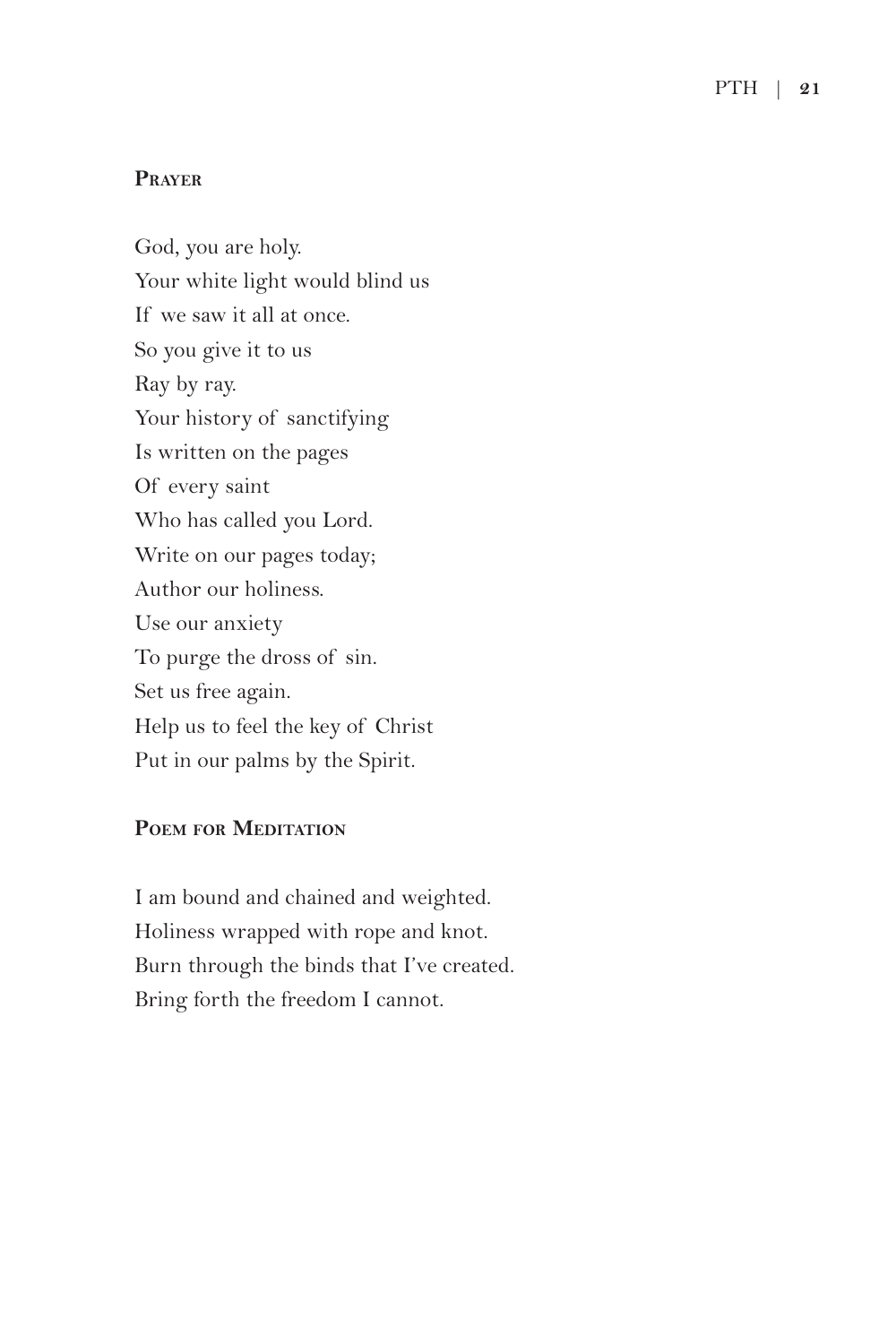#### **Prayer**

God, you are holy. Your white light would blind us If we saw it all at once. So you give it to us Ray by ray. Your history of sanctifying Is written on the pages Of every saint Who has called you Lord. Write on our pages today; Author our holiness. Use our anxiety To purge the dross of sin. Set us free again. Help us to feel the key of Christ Put in our palms by the Spirit.

#### **Poem for Meditation**

I am bound and chained and weighted. Holiness wrapped with rope and knot. Burn through the binds that I've created. Bring forth the freedom I cannot.